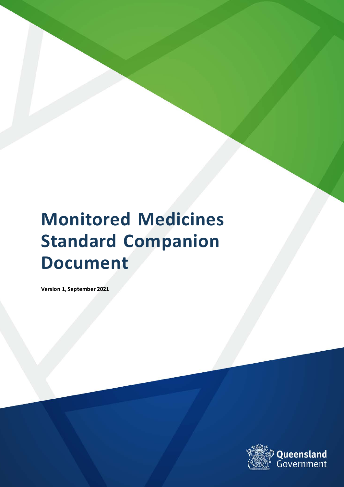# **Monitored Medicines Standard Companion Document**

**Version 1, September 2021**

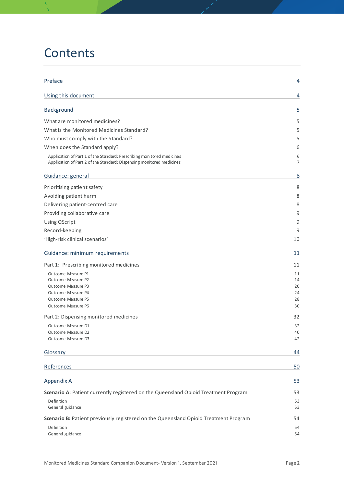# **Contents**

| Preface                                                                                                                                         | 4        |
|-------------------------------------------------------------------------------------------------------------------------------------------------|----------|
| Using this document                                                                                                                             | 4        |
| Background                                                                                                                                      | 5        |
| What are monitored medicines?                                                                                                                   | 5        |
| What is the Monitored Medicines Standard?                                                                                                       | 5        |
| Who must comply with the Standard?                                                                                                              | 5        |
| When does the Standard apply?                                                                                                                   | 6        |
| Application of Part 1 of the Standard: Prescribing monitored medicines<br>Application of Part 2 of the Standard: Dispensing monitored medicines | 6<br>7   |
| Guidance: general                                                                                                                               | 8        |
| Prioritising patient safety                                                                                                                     | 8        |
| Avoiding patient harm                                                                                                                           | 8        |
| Delivering patient-centred care                                                                                                                 | 8        |
| Providing collaborative care                                                                                                                    | 9        |
| <b>Using QScript</b>                                                                                                                            | 9        |
| Record-keeping                                                                                                                                  | 9        |
| 'High-risk clinical scenarios'                                                                                                                  | 10       |
| Guidance: minimum requirements                                                                                                                  | 11       |
| Part 1: Prescribing monitored medicines                                                                                                         | 11       |
| Outcome Measure P1                                                                                                                              | 11       |
| Outcome Measure P2                                                                                                                              | 14       |
| Outcome Measure P3                                                                                                                              | 20       |
| Outcome Measure P4                                                                                                                              | 24       |
| Outcome Measure P5<br>Outcome Measure P6                                                                                                        | 28<br>30 |
|                                                                                                                                                 | 32       |
| Part 2: Dispensing monitored medicines                                                                                                          |          |
| Outcome Measure D1<br>Outcome Measure D2                                                                                                        | 32<br>40 |
| Outcome Measure D3                                                                                                                              | 42       |
| Glossary                                                                                                                                        | 44       |
| References                                                                                                                                      | 50       |
| Appendix A                                                                                                                                      | 53       |
|                                                                                                                                                 |          |
| Scenario A: Patient currently registered on the Queensland Opioid Treatment Program                                                             | 53       |
| Definition<br>General guidance                                                                                                                  | 53<br>53 |
| Scenario B: Patient previously registered on the Queensland Opioid Treatment Program                                                            | 54       |
| Definition                                                                                                                                      | 54       |
| General guidance                                                                                                                                | 54       |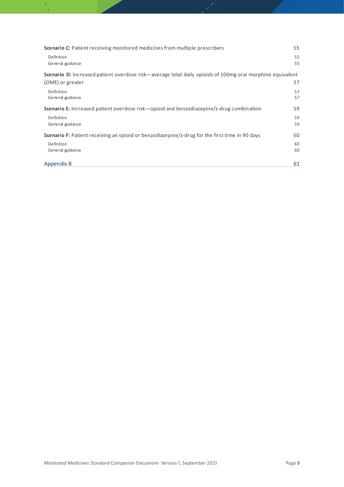| <b>Scenario C:</b> Patient receiving monitored medicines from multiple prescribers                               | 55       |
|------------------------------------------------------------------------------------------------------------------|----------|
| Definition<br>General guidance                                                                                   | 55<br>55 |
| <b>Scenario D:</b> Increased patient overdose risk—average total daily opioids of 100mg oral morphine equivalent |          |
| (OME) or greater                                                                                                 | 57       |
| Definition<br>General guidance                                                                                   | 57<br>57 |
| <b>Scenario E:</b> Increased patient overdose risk—opioid and benzodiazepine/z-drug combination                  | 59       |
| Definition                                                                                                       | 59       |
| General guidance                                                                                                 | 59       |
| <b>Scenario F:</b> Patient receiving an opioid or benzodiazepine/z-drug for the first time in 90 days            | 60       |
| Definition                                                                                                       | 60       |
| General guidance                                                                                                 | 60       |
| Appendix B                                                                                                       | 61       |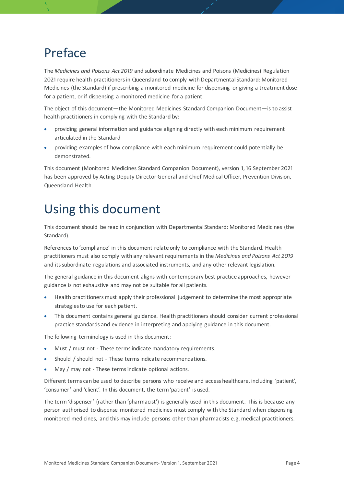# <span id="page-3-0"></span>Preface

The *Medicines and Poisons Act 2019* and subordinate Medicines and Poisons (Medicines) Regulation 2021 require health practitioners in Queensland to comply with Departmental Standard: Monitored Medicines (the Standard) if prescribing a monitored medicine for dispensing or giving a treatment dose for a patient, or if dispensing a monitored medicine for a patient.

The object of this document—the Monitored Medicines Standard Companion Document—is to assist health practitioners in complying with the Standard by:

- providing general information and guidance aligning directly with each minimum requirement articulated in the Standard
- providing examples of how compliance with each minimum requirement could potentially be demonstrated.

This document (Monitored Medicines Standard Companion Document), version 1, 16 September 2021 has been approved by Acting Deputy Director-General and Chief Medical Officer, Prevention Division, Queensland Health.

# <span id="page-3-1"></span>Using this document

This document should be read in conjunction with Departmental Standard: Monitored Medicines (the Standard).

References to 'compliance' in this document relate only to compliance with the Standard. Health practitioners must also comply with any relevant requirements in the *Medicines and Poisons Act 2019* and its subordinate regulations and associated instruments, and any other relevant legislation.

The general guidance in this document aligns with contemporary best practice approaches, however guidance is not exhaustive and may not be suitable for all patients.

- Health practitioners must apply their professional judgement to determine the most appropriate strategies to use for each patient.
- This document contains general guidance. Health practitioners should consider current professional practice standards and evidence in interpreting and applying guidance in this document.

The following terminology is used in this document:

- Must / must not These terms indicate mandatory requirements.
- Should / should not These terms indicate recommendations.
- May / may not These terms indicate optional actions.

Different terms can be used to describe persons who receive and access healthcare, including 'patient', 'consumer' and 'client'. In this document, the term 'patient' is used.

The term 'dispenser' (rather than 'pharmacist') is generally used in this document. This is because any person authorised to dispense monitored medicines must comply with the Standard when dispensing monitored medicines, and this may include persons other than pharmacists e.g. medical practitioners.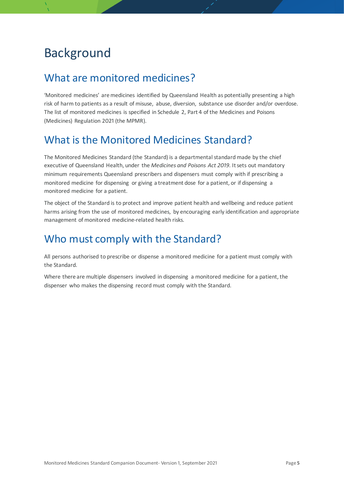# <span id="page-4-0"></span>Background

# <span id="page-4-1"></span>What are monitored medicines?

'Monitored medicines' are medicines identified by Queensland Health as potentially presenting a high risk of harm to patients as a result of misuse, abuse, diversion, substance use disorder and/or overdose. The list of monitored medicines is specified in Schedule 2, Part 4 of the Medicines and Poisons (Medicines) Regulation 2021 (the MPMR).

# <span id="page-4-2"></span>What is the Monitored Medicines Standard?

The Monitored Medicines Standard (the Standard) is a departmental standard made by the chief executive of Queensland Health, under the *Medicines and Poisons Act 2019*. It sets out mandatory minimum requirements Queensland prescribers and dispensers must comply with if prescribing a monitored medicine for dispensing or giving a treatment dose for a patient, or if dispensing a monitored medicine for a patient.

The object of the Standard is to protect and improve patient health and wellbeing and reduce patient harms arising from the use of monitored medicines, by encouraging early identification and appropriate management of monitored medicine-related health risks.

# <span id="page-4-3"></span>Who must comply with the Standard?

All persons authorised to prescribe or dispense a monitored medicine for a patient must comply with the Standard.

Where there are multiple dispensers involved in dispensing a monitored medicine for a patient, the dispenser who makes the dispensing record must comply with the Standard.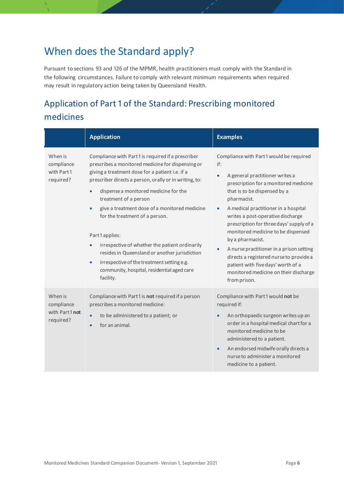# <span id="page-5-0"></span>When does the Standard apply?

Pursuant to sections 93 and 126 of the MPMR, health practitioners must comply with the Standard in the following circumstances. Failure to comply with relevant minimum requirements when required may result in regulatory action being taken by Queensland Health.

# <span id="page-5-1"></span>Application of Part 1 of the Standard: Prescribing monitored medicines

|                                                      | <b>Application</b>                                                                                                                                                                                                                                                                                                                                                                                                                                                                                                                                                                                    | <b>Examples</b>                                                                                                                                                                                                                                                                                                                                                                                                                                                                                                                                                 |
|------------------------------------------------------|-------------------------------------------------------------------------------------------------------------------------------------------------------------------------------------------------------------------------------------------------------------------------------------------------------------------------------------------------------------------------------------------------------------------------------------------------------------------------------------------------------------------------------------------------------------------------------------------------------|-----------------------------------------------------------------------------------------------------------------------------------------------------------------------------------------------------------------------------------------------------------------------------------------------------------------------------------------------------------------------------------------------------------------------------------------------------------------------------------------------------------------------------------------------------------------|
| When is<br>compliance<br>with Part1<br>required?     | Compliance with Part1 is required if a prescriber<br>prescribes a monitored medicine for dispensing or<br>giving a treatment dose for a patient i.e. if a<br>prescriber directs a person, orally or in writing, to:<br>dispense a monitored medicine for the<br>treatment of a person<br>give a treatment dose of a monitored medicine<br>for the treatment of a person.<br>Part1applies:<br>irrespective of whether the patient ordinarily<br>resides in Queensland or another jurisdiction<br>irrespective of the treatment setting e.g.<br>community, hospital, residential aged care<br>facility. | Compliance with Part1 would be required<br>if:<br>A general practitioner writes a<br>$\bullet$<br>prescription for a monitored medicine<br>that is to be dispensed by a<br>pharmacist.<br>A medical practitioner in a hospital<br>writes a post-operative discharge<br>prescription for three days' supply of a<br>monitored medicine to be dispensed<br>by a pharmacist.<br>A nurse practitioner in a prison setting<br>directs a registered nurse to provide a<br>patient with five days' worth of a<br>monitored medicine on their discharge<br>from prison. |
| When is<br>compliance<br>with Part1 not<br>required? | Compliance with Part1 is not required if a person<br>prescribes a monitored medicine:<br>to be administered to a patient; or<br>for an animal.<br>$\bullet$                                                                                                                                                                                                                                                                                                                                                                                                                                           | Compliance with Part1 would not be<br>required if:<br>An orthopaedic surgeon writes up an<br>order in a hospital medical chart for a<br>monitored medicine to be<br>administered to a patient.<br>An endorsed midwife orally directs a<br>$\bullet$<br>nurse to administer a monitored<br>medicine to a patient.                                                                                                                                                                                                                                                |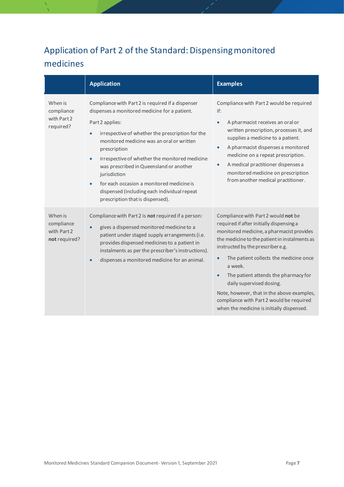# <span id="page-6-0"></span>Application of Part 2 of the Standard: Dispensing monitored medicines

|                                                       | <b>Application</b>                                                                                                                                                                                                                                                                                                                                                                                                                                                                                            | <b>Examples</b>                                                                                                                                                                                                                                                                                                                                                                                                                                                                                             |
|-------------------------------------------------------|---------------------------------------------------------------------------------------------------------------------------------------------------------------------------------------------------------------------------------------------------------------------------------------------------------------------------------------------------------------------------------------------------------------------------------------------------------------------------------------------------------------|-------------------------------------------------------------------------------------------------------------------------------------------------------------------------------------------------------------------------------------------------------------------------------------------------------------------------------------------------------------------------------------------------------------------------------------------------------------------------------------------------------------|
| When is<br>compliance<br>with Part 2<br>required?     | Compliance with Part 2 is required if a dispenser<br>dispenses a monitored medicine for a patient.<br>Part 2 applies:<br>irrespective of whether the prescription for the<br>$\bullet$<br>monitored medicine was an oral or written<br>prescription<br>irrespective of whether the monitored medicine<br>$\bullet$<br>was prescribed in Queensland or another<br>jurisdiction<br>for each occasion a monitored medicine is<br>dispensed (including each individual repeat<br>prescription that is dispensed). | Compliance with Part 2 would be required<br>if:<br>A pharmacist receives an oral or<br>$\bullet$<br>written prescription, processes it, and<br>supplies a medicine to a patient.<br>A pharmacist dispenses a monitored<br>$\bullet$<br>medicine on a repeat prescription.<br>A medical practitioner dispenses a<br>$\bullet$<br>monitored medicine on prescription<br>from another medical practitioner.                                                                                                    |
| When is<br>compliance<br>with Part 2<br>not required? | Compliance with Part 2 is not required if a person:<br>gives a dispensed monitored medicine to a<br>$\bullet$<br>patient under staged supply arrangements (i.e.<br>provides dispensed medicines to a patient in<br>instalments as per the prescriber's instructions).<br>dispenses a monitored medicine for an animal.                                                                                                                                                                                        | Compliance with Part 2 would not be<br>required if after initially dispensing a<br>monitored medicine, a pharmacist provides<br>the medicine to the patient in instalments as<br>instructed by the prescribere.g.<br>The patient collects the medicine once<br>$\bullet$<br>a week.<br>The patient attends the pharmacy for<br>$\bullet$<br>daily supervised dosing.<br>Note, however, that in the above examples,<br>compliance with Part 2 would be required<br>when the medicine is initially dispensed. |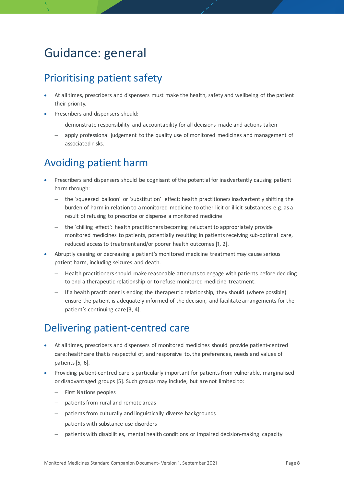# <span id="page-7-0"></span>Guidance: general

# <span id="page-7-1"></span>Prioritising patient safety

- At all times, prescribers and dispensers must make the health, safety and wellbeing of the patient their priority.
- Prescribers and dispensers should:
	- − demonstrate responsibility and accountability for all decisions made and actions taken
	- apply professional judgement to the quality use of monitored medicines and management of associated risks.

# <span id="page-7-2"></span>Avoiding patient harm

- Prescribers and dispensers should be cognisant of the potential for inadvertently causing patient harm through:
	- − the 'squeezed balloon' or 'substitution' effect: health practitioners inadvertently shifting the burden of harm in relation to a monitored medicine to other licit or illicit substances e.g. as a result of refusing to prescribe or dispense a monitored medicine
	- − the 'chilling effect': health practitioners becoming reluctant to appropriately provide monitored medicines to patients, potentially resulting in patients receiving sub-optimal care, reduced access to treatment and/or poorer health outcomes [1, 2].
- Abruptly ceasing or decreasing a patient's monitored medicine treatment may cause serious patient harm, including seizures and death.
	- Health practitioners should make reasonable attempts to engage with patients before deciding to end a therapeutic relationship or to refuse monitored medicine treatment.
	- − If a health practitioner is ending the therapeutic relationship, they should (where possible) ensure the patient is adequately informed of the decision, and facilitate arrangements for the patient's continuing care [3, 4].

# <span id="page-7-3"></span>Delivering patient-centred care

- At all times, prescribers and dispensers of monitored medicines should provide patient-centred care: healthcare that is respectful of, and responsive to, the preferences, needs and values of patients[5, 6].
- Providing patient-centred care is particularly important for patientsfrom vulnerable, marginalised or disadvantaged groups [5]. Such groups may include, but are not limited to:
	- First Nations peoples
	- − patients from rural and remote areas
	- patients from culturally and linguistically diverse backgrounds
	- patients with substance use disorders
	- patients with disabilities, mental health conditions or impaired decision-making capacity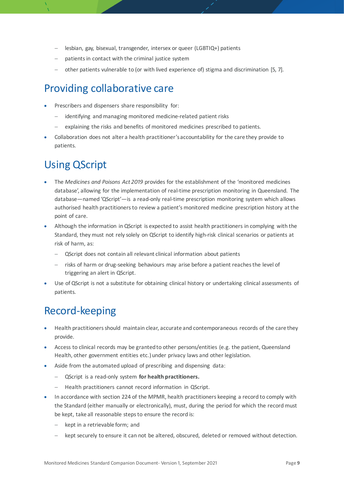- lesbian, gay, bisexual, transgender, intersex or queer (LGBTIQ+) patients
- patients in contact with the criminal justice system
- − other patients vulnerable to (or with lived experience of) stigma and discrimination [5, 7].

# <span id="page-8-0"></span>Providing collaborative care

- Prescribers and dispensers share responsibility for:
	- identifying and managing monitored medicine-related patient risks
	- explaining the risks and benefits of monitored medicines prescribed to patients.
- Collaboration does not alter a health practitioner'saccountability for the care they provide to patients.

# <span id="page-8-1"></span>Using QScript

- The *Medicines and Poisons Act 2019* provides for the establishment of the 'monitored medicines database', allowing for the implementation of real-time prescription monitoring in Queensland. The database—named 'QScript'—is a read-only real-time prescription monitoring system which allows authorised health practitioners to review a patient's monitored medicine prescription history at the point of care.
- Although the information in QScript is expected to assist health practitioners in complying with the Standard, they must not rely solely on QScript to identify high-risk clinical scenarios or patients at risk of harm, as:
	- − QScript does not contain all relevant clinical information about patients
	- risks of harm or drug-seeking behaviours may arise before a patient reaches the level of triggering an alert in QScript.
- Use of QScript is not a substitute for obtaining clinical history or undertaking clinical assessments of patients.

# <span id="page-8-2"></span>Record-keeping

- Health practitioners should maintain clear, accurate and contemporaneous records of the care they provide.
- Access to clinical records may be granted to other persons/entities (e.g. the patient, Queensland Health, other government entities etc.) under privacy laws and other legislation.
- Aside from the automated upload of prescribing and dispensing data:
	- − QScript is a read-only system **for health practitioners.**
	- Health practitioners cannot record information in QScript.
- In accordance with section 224 of the MPMR, health practitioners keeping a record to comply with the Standard (either manually or electronically), must, during the period for which the record must be kept, take all reasonable steps to ensure the record is:
	- kept in a retrievable form; and
	- kept securely to ensure it can not be altered, obscured, deleted or removed without detection.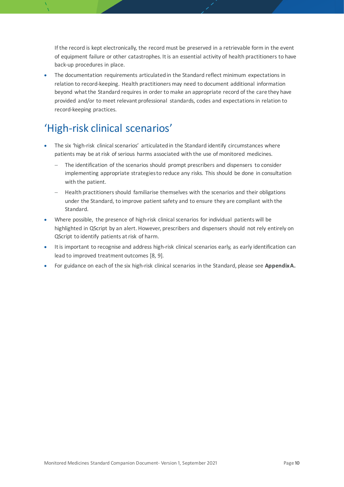If the record is kept electronically, the record must be preserved in a retrievable form in the event of equipment failure or other catastrophes. It is an essential activity of health practitioners to have back-up procedures in place.

• The documentation requirements articulated in the Standard reflect minimum expectations in relation to record-keeping. Health practitioners may need to document additional information beyond what the Standard requires in order to make an appropriate record of the care they have provided and/or to meet relevant professional standards, codes and expectations in relation to record-keeping practices.

# <span id="page-9-0"></span>'High-risk clinical scenarios'

- The six 'high-risk clinical scenarios' articulated in the Standard identify circumstances where patients may be at risk of serious harms associated with the use of monitored medicines.
	- The identification of the scenarios should prompt prescribers and dispensers to consider implementing appropriate strategies to reduce any risks. This should be done in consultation with the patient.
	- − Health practitioners should familiarise themselves with the scenarios and their obligations under the Standard, to improve patient safety and to ensure they are compliant with the Standard.
- Where possible, the presence of high-risk clinical scenarios for individual patients will be highlighted in QScript by an alert. However, prescribers and dispensers should not rely entirely on QScript to identify patients at risk of harm.
- It is important to recognise and address high-risk clinical scenarios early, as early identification can lead to improved treatment outcomes [8, 9].
- For guidance on each of the six high-risk clinical scenarios in the Standard, please see **AppendixA.**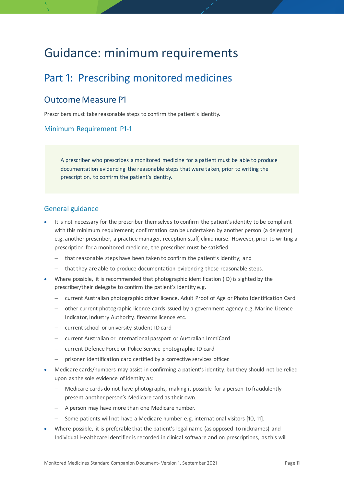# <span id="page-10-0"></span>Guidance: minimum requirements

# <span id="page-10-1"></span>Part 1: Prescribing monitored medicines

## <span id="page-10-2"></span>Outcome Measure P1

Prescribers must take reasonable steps to confirm the patient's identity.

### Minimum Requirement P1-1

A prescriber who prescribes a monitored medicine for a patient must be able to produce documentation evidencing the reasonable steps that were taken, prior to writing the prescription, to confirm the patient's identity.

- It is not necessary for the prescriber themselves to confirm the patient's identity to be compliant with this minimum requirement; confirmation can be undertaken by another person (a delegate) e.g. another prescriber, a practice manager, reception staff, clinic nurse. However, prior to writing a prescription for a monitored medicine, the prescriber must be satisfied:
	- that reasonable steps have been taken to confirm the patient's identity; and
	- − that they are able to produce documentation evidencing those reasonable steps.
- Where possible, it is recommended that photographic identification (ID) is sighted by the prescriber/their delegate to confirm the patient's identity e.g.
	- − current Australian photographic driver licence, Adult Proof of Age or Photo Identification Card
	- − other current photographic licence cards issued by a government agency e.g. Marine Licence Indicator, Industry Authority, firearms licence etc.
	- − current school or university student ID card
	- − current Australian or international passport or Australian ImmiCard
	- − current Defence Force or Police Service photographic ID card
	- − prisoner identification card certified by a corrective services officer.
- Medicare cards/numbers may assist in confirming a patient's identity, but they should not be relied upon as the sole evidence of identity as:
	- − Medicare cards do not have photographs, making it possible for a person to fraudulently present another person's Medicare card as their own.
	- − A person may have more than one Medicare number.
	- − Some patients will not have a Medicare number e.g. international visitors [10, 11].
- Where possible, it is preferable that the patient's legal name (as opposed to nicknames) and Individual Healthcare Identifier is recorded in clinical software and on prescriptions, as this will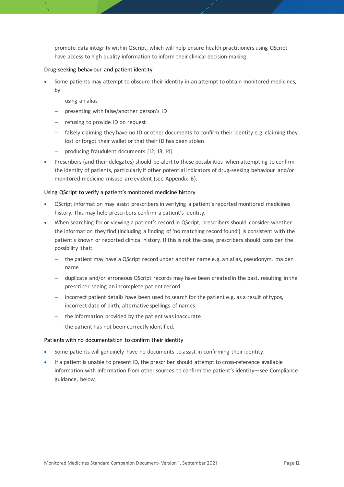promote data integrity within QScript, which will help ensure health practitioners using QScript have access to high quality information to inform their clinical decision-making.

#### Drug-seeking behaviour and patient identity

- Some patients may attempt to obscure their identity in an attempt to obtain monitored medicines, by:
	- − using an alias
	- − presenting with false/another person's ID
	- − refusing to provide ID on request
	- − falsely claiming they have no ID or other documents to confirm their identity e.g. claiming they lost or forgot their wallet or that their ID has been stolen
	- − producing fraudulent documents [12, 13, 14].
- Prescribers (and their delegates) should be alert to these possibilities when attempting to confirm the identity of patients, particularly if other potential indicators of drug-seeking behaviour and/or monitored medicine misuse are evident (see Appendix B).

#### Using QScript to verify a patient's monitored medicine history

- QScript information may assist prescribers in verifying a patient's reported monitored medicines history. This may help prescribers confirm a patient's identity.
- When searching for or viewing a patient's record in QScript, prescribers should consider whether the information they find (including a finding of 'no matching record found') is consistent with the patient's known or reported clinical history. If this is not the case, prescribers should consider the possibility that:
	- − the patient may have a QScript record under another name e.g. an alias, pseudonym, maiden name
	- − duplicate and/or erroneous QScript records may have been created in the past, resulting in the prescriber seeing an incomplete patient record
	- − incorrect patient details have been used to search for the patient e.g. as a result of typos, incorrect date of birth, alternative spellings of names
	- the information provided by the patient was inaccurate
	- the patient has not been correctly identified.

#### Patients with no documentation to confirm their identity

- Some patients will genuinely have no documents to assist in confirming their identity.
- If a patient is unable to present ID, the prescriber should attempt to cross-reference available information with information from other sources to confirm the patient's identity—see Compliance guidance, below.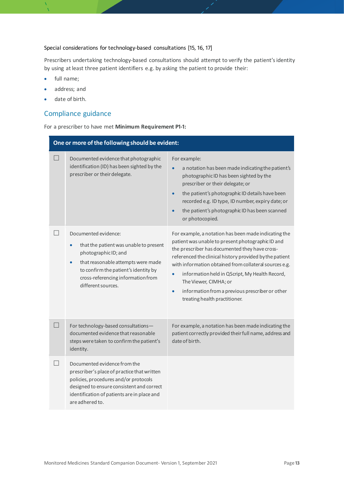#### Special considerations for technology-based consultations [15, 16, 17]

Prescribers undertaking technology-based consultations should attempt to verify the patient's identity by using at least three patient identifiers e.g. by asking the patient to provide their:

- full name;
- address; and
- date of birth.

## Compliance guidance

|  |  | For a prescriber to have met Minimum Requirement P1-1: |  |  |
|--|--|--------------------------------------------------------|--|--|
|--|--|--------------------------------------------------------|--|--|

|     | One or more of the following should be evident:                                                                                                                                                                                     |                                                                                                                                                                                                                                                                                                                                                                                                                                                              |  |
|-----|-------------------------------------------------------------------------------------------------------------------------------------------------------------------------------------------------------------------------------------|--------------------------------------------------------------------------------------------------------------------------------------------------------------------------------------------------------------------------------------------------------------------------------------------------------------------------------------------------------------------------------------------------------------------------------------------------------------|--|
|     | Documented evidence that photographic<br>identification (ID) has been sighted by the<br>prescriber or their delegate.                                                                                                               | For example:<br>a notation has been made indicating the patient's<br>photographic ID has been sighted by the<br>prescriber or their delegate; or<br>the patient's photographic ID details have been<br>recorded e.g. ID type, ID number, expiry date; or<br>the patient's photographic ID has been scanned<br>or photocopied.                                                                                                                                |  |
|     | Documented evidence:<br>that the patient was unable to present<br>photographic ID; and<br>that reasonable attempts were made<br>to confirm the patient's identity by<br>cross-referencing information from<br>different sources.    | For example, a notation has been made indicating the<br>patient was unable to present photographic ID and<br>the prescriber has documented they have cross-<br>referenced the clinical history provided by the patient<br>with information obtained from collateral sources e.g.<br>information held in QScript, My Health Record,<br>The Viewer, CIMHA; or<br>information from a previous prescriber or other<br>$\bullet$<br>treating health practitioner. |  |
| - 1 | For technology-based consultations-<br>documented evidence that reasonable<br>steps were taken to confirm the patient's<br>identity.                                                                                                | For example, a notation has been made indicating the<br>patient correctly provided their full name, address and<br>date of birth.                                                                                                                                                                                                                                                                                                                            |  |
|     | Documented evidence from the<br>prescriber's place of practice that written<br>policies, procedures and/or protocols<br>designed to ensure consistent and correct<br>identification of patients are in place and<br>are adhered to. |                                                                                                                                                                                                                                                                                                                                                                                                                                                              |  |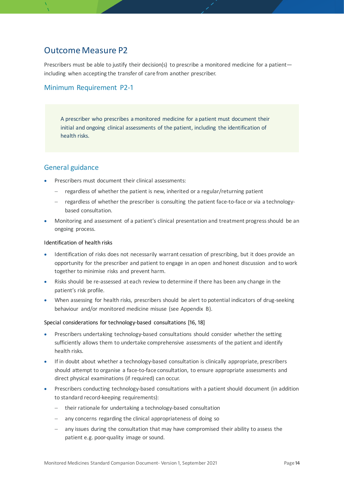## <span id="page-13-0"></span>Outcome Measure P2

Prescribers must be able to justify their decision(s) to prescribe a monitored medicine for a patientincluding when accepting the transfer of care from another prescriber.

### Minimum Requirement P2-1

A prescriber who prescribes a monitored medicine for a patient must document their initial and ongoing clinical assessments of the patient, including the identification of health risks.

### General guidance

- Prescribers must document their clinical assessments:
	- − regardless of whether the patient is new, inherited or a regular/returning patient
	- − regardless of whether the prescriber is consulting the patient face-to-face or via a technologybased consultation.
- Monitoring and assessment of a patient's clinical presentation and treatment progress should be an ongoing process.

#### Identification of health risks

- Identification of risks does not necessarily warrant cessation of prescribing, but it does provide an opportunity for the prescriber and patient to engage in an open and honest discussion and to work together to minimise risks and prevent harm.
- Risks should be re-assessed at each review to determine if there has been any change in the patient's risk profile.
- When assessing for health risks, prescribers should be alert to potential indicators of drug-seeking behaviour and/or monitored medicine misuse (see Appendix B).

#### Special considerations for technology-based consultations [16, 18]

- Prescribers undertaking technology-based consultations should consider whether the setting sufficiently allows them to undertake comprehensive assessments of the patient and identify health risks.
- If in doubt about whether a technology-based consultation is clinically appropriate, prescribers should attempt to organise a face-to-face consultation, to ensure appropriate assessments and direct physical examinations (if required) can occur.
- Prescribers conducting technology-based consultations with a patient should document (in addition to standard record-keeping requirements):
	- − their rationale for undertaking a technology-based consultation
	- any concerns regarding the clinical appropriateness of doing so
	- any issues during the consultation that may have compromised their ability to assess the patient e.g. poor-quality image or sound.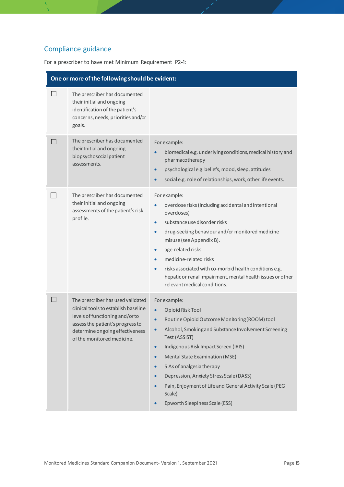# Compliance guidance

For a prescriber to have met Minimum Requirement P2-1:

|                | One or more of the following should be evident:                                                                                                                                                                   |                                                                                                                                                                                                                                                                                                                                                                                                                                                                                                                       |
|----------------|-------------------------------------------------------------------------------------------------------------------------------------------------------------------------------------------------------------------|-----------------------------------------------------------------------------------------------------------------------------------------------------------------------------------------------------------------------------------------------------------------------------------------------------------------------------------------------------------------------------------------------------------------------------------------------------------------------------------------------------------------------|
|                | The prescriber has documented<br>their initial and ongoing<br>identification of the patient's<br>concerns, needs, priorities and/or<br>goals.                                                                     |                                                                                                                                                                                                                                                                                                                                                                                                                                                                                                                       |
|                | The prescriber has documented<br>their Initial and ongoing<br>biopsychosocial patient<br>assessments.                                                                                                             | For example:<br>biomedical e.g. underlying conditions, medical history and<br>$\bullet$<br>pharmacotherapy<br>psychological e.g. beliefs, mood, sleep, attitudes<br>$\bullet$<br>social e.g. role of relationships, work, other life events.<br>$\bullet$                                                                                                                                                                                                                                                             |
|                | The prescriber has documented<br>their initial and ongoing<br>assessments of the patient's risk<br>profile.                                                                                                       | For example:<br>overdose risks (including accidental and intentional<br>$\bullet$<br>overdoses)<br>substance use disorder risks<br>$\bullet$<br>drug-seeking behaviour and/or monitored medicine<br>$\bullet$<br>misuse (see Appendix B).<br>age-related risks<br>$\bullet$<br>medicine-related risks<br>$\bullet$<br>risks associated with co-morbid health conditions e.g.<br>$\bullet$<br>hepatic or renal impairment, mental health issues or other<br>relevant medical conditions.                               |
| $\blacksquare$ | The prescriber has used validated<br>clinical tools to establish baseline<br>levels of functioning and/or to<br>assess the patient's progress to<br>determine ongoing effectiveness<br>of the monitored medicine. | For example:<br>Opioid Risk Tool<br>$\bullet$<br>Routine Opioid Outcome Monitoring (ROOM) tool<br>$\bullet$<br>Alcohol, Smoking and Substance Involvement Screening<br>Test (ASSIST)<br>Indigenous Risk Impact Screen (IRIS)<br>$\bullet$<br><b>Mental State Examination (MSE)</b><br>$\bullet$<br>5 As of analgesia therapy<br>$\bullet$<br>Depression, Anxiety Stress Scale (DASS)<br>$\bullet$<br>Pain, Enjoyment of Life and General Activity Scale (PEG<br>$\bullet$<br>Scale)<br>Epworth Sleepiness Scale (ESS) |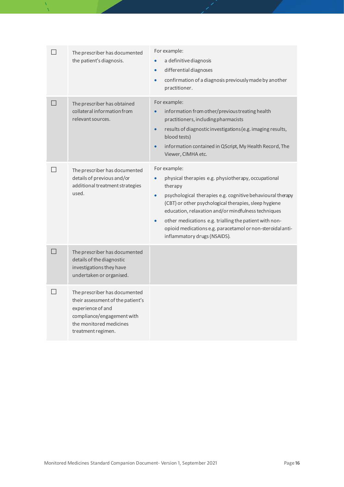| ا ا               | The prescriber has documented<br>the patient's diagnosis.                                                                                                              | For example:<br>a definitive diagnosis<br>differential diagnoses<br>$\bullet$<br>confirmation of a diagnosis previously made by another<br>$\bullet$<br>practitioner.                                                                                                                                                                                                                                                                          |
|-------------------|------------------------------------------------------------------------------------------------------------------------------------------------------------------------|------------------------------------------------------------------------------------------------------------------------------------------------------------------------------------------------------------------------------------------------------------------------------------------------------------------------------------------------------------------------------------------------------------------------------------------------|
| $\Box$            | The prescriber has obtained<br>collateral information from<br>relevant sources.                                                                                        | For example:<br>information from other/previous treating health<br>practitioners, including pharmacists<br>results of diagnostic investigations (e.g. imaging results,<br>$\bullet$<br>blood tests)<br>information contained in QScript, My Health Record, The<br>$\bullet$<br>Viewer, CIMHA etc.                                                                                                                                              |
| $\vert \ \ \vert$ | The prescriber has documented<br>details of previous and/or<br>additional treatment strategies<br>used.                                                                | For example:<br>physical therapies e.g. physiotherapy, occupational<br>therapy<br>psychological therapies e.g. cognitive behavioural therapy<br>$\bullet$<br>(CBT) or other psychological therapies, sleep hygiene<br>education, relaxation and/or mindfulness techniques<br>other medications e.g. trialling the patient with non-<br>$\bullet$<br>opioid medications e.g. paracetamol or non-steroidal anti-<br>inflammatory drugs (NSAIDS). |
| $\Box$            | The prescriber has documented<br>details of the diagnostic<br>investigations they have<br>undertaken or organised.                                                     |                                                                                                                                                                                                                                                                                                                                                                                                                                                |
| $\vert \ \ \vert$ | The prescriber has documented<br>their assessment of the patient's<br>experience of and<br>compliance/engagement with<br>the monitored medicines<br>treatment regimen. |                                                                                                                                                                                                                                                                                                                                                                                                                                                |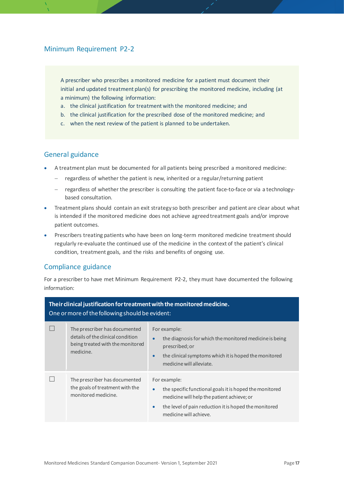### Minimum Requirement P2-2

A prescriber who prescribes a monitored medicine for a patient must document their initial and updated treatment plan(s) for prescribing the monitored medicine, including (at a minimum) the following information:

- a. the clinical justification for treatment with the monitored medicine; and
- b. the clinical justification for the prescribed dose of the monitored medicine; and
- c. when the next review of the patient is planned to be undertaken.

#### General guidance

- A treatment plan must be documented for all patients being prescribed a monitored medicine:
	- − regardless of whether the patient is new, inherited or a regular/returning patient
	- − regardless of whether the prescriber is consulting the patient face-to-face or via a technologybased consultation.
- Treatment plans should contain an exit strategy so both prescriber and patient are clear about what is intended if the monitored medicine does not achieve agreed treatment goals and/or improve patient outcomes.
- Prescribers treating patients who have been on long-term monitored medicine treatment should regularly re-evaluate the continued use of the medicine in the context of the patient's clinical condition, treatment goals, and the risks and benefits of ongoing use.

### Compliance guidance

For a prescriber to have met Minimum Requirement P2-2, they must have documented the following information:

| Their clinical justification for treatment with the monitored medicine.<br>One or more of the following should be evident: |                                                                                                                     |                                                                                                                                                                                                                                    |
|----------------------------------------------------------------------------------------------------------------------------|---------------------------------------------------------------------------------------------------------------------|------------------------------------------------------------------------------------------------------------------------------------------------------------------------------------------------------------------------------------|
|                                                                                                                            | The prescriber has documented<br>details of the clinical condition<br>being treated with the monitored<br>medicine. | For example:<br>the diagnosis for which the monitored medicine is being<br>$\bullet$<br>prescribed; or<br>the clinical symptoms which it is hoped the monitored<br>$\bullet$<br>medicine will alleviate.                           |
|                                                                                                                            | The prescriber has documented<br>the goals of treatment with the<br>monitored medicine.                             | For example:<br>the specific functional goals it is hoped the monitored<br>$\bullet$<br>medicine will help the patient achieve; or<br>the level of pain reduction it is hoped the monitored<br>$\bullet$<br>medicine will achieve. |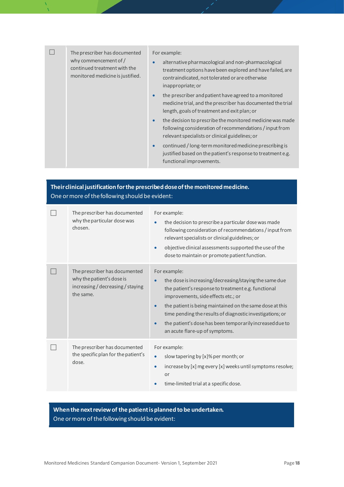| The prescriber has documented<br>why commencement of /<br>continued treatment with the<br>monitored medicine is justified. | For example:<br>alternative pharmacological and non-pharmacological<br>$\bullet$<br>treatment options have been explored and have failed, are<br>contraindicated, not tolerated or are otherwise<br>inappropriate; or |                                                                                                                                                                                      |
|----------------------------------------------------------------------------------------------------------------------------|-----------------------------------------------------------------------------------------------------------------------------------------------------------------------------------------------------------------------|--------------------------------------------------------------------------------------------------------------------------------------------------------------------------------------|
|                                                                                                                            |                                                                                                                                                                                                                       | the prescriber and patient have agreed to a monitored<br>$\bullet$<br>medicine trial, and the prescriber has documented the trial<br>length, goals of treatment and exit plan; or    |
|                                                                                                                            |                                                                                                                                                                                                                       | the decision to prescribe the monitored medicine was made<br>$\bullet$<br>following consideration of recommendations / input from<br>relevant specialists or clinical guidelines; or |
|                                                                                                                            |                                                                                                                                                                                                                       | continued / long-term monitored medicine prescribing is<br>$\bullet$<br>justified based on the patient's response to treatment e.g.                                                  |

functional improvements.

## **Their clinical justification for the prescribed dose of the monitored medicine.**  One or more of the following should be evident:

| The prescriber has documented<br>why the particular dose was<br>chosen.                                      | For example:<br>the decision to prescribe a particular dose was made<br>$\bullet$<br>following consideration of recommendations / input from<br>relevant specialists or clinical guidelines; or<br>objective clinical assessments supported the use of the<br>$\bullet$<br>dose to maintain or promote patient function.                                                                                                           |
|--------------------------------------------------------------------------------------------------------------|------------------------------------------------------------------------------------------------------------------------------------------------------------------------------------------------------------------------------------------------------------------------------------------------------------------------------------------------------------------------------------------------------------------------------------|
| The prescriber has documented<br>why the patient's dose is<br>increasing / decreasing / staying<br>the same. | For example:<br>the dose is increasing/decreasing/staying the same due<br>$\bullet$<br>the patient's response to treatment e.g. functional<br>improvements, side effects etc.; or<br>the patient is being maintained on the same dose at this<br>$\bullet$<br>time pending the results of diagnostic investigations; or<br>the patient's dose has been temporarily increased due to<br>$\bullet$<br>an acute flare-up of symptoms. |
| The prescriber has documented<br>the specific plan for the patient's<br>dose.                                | For example:<br>slow tapering by [x]% per month; or<br>$\bullet$<br>increase by [x] mg every [x] weeks until symptoms resolve;<br>$\bullet$<br>or<br>time-limited trial at a specific dose.<br>$\bullet$                                                                                                                                                                                                                           |

**When the next review of the patient is planned to be undertaken.** One or more of the following should be evident: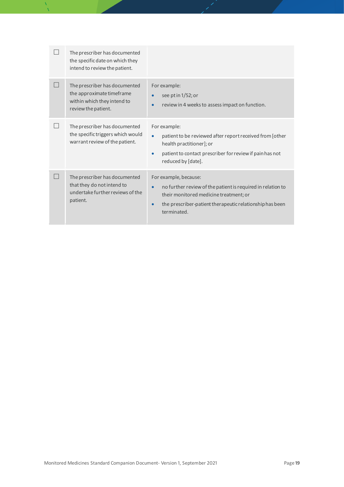| The prescriber has documented<br>the specific date on which they<br>intend to review the patient.                |                                                                                                                                                                                                                                     |
|------------------------------------------------------------------------------------------------------------------|-------------------------------------------------------------------------------------------------------------------------------------------------------------------------------------------------------------------------------------|
| The prescriber has documented<br>the approximate timeframe<br>within which they intend to<br>review the patient. | For example:<br>see pt in 1/52; or<br>$\bullet$<br>review in 4 weeks to assess impact on function.<br>$\bullet$                                                                                                                     |
| The prescriber has documented<br>the specific triggers which would<br>warrant review of the patient.             | For example:<br>patient to be reviewed after report received from [other<br>$\bullet$<br>health practitioner]; or<br>patient to contact prescriber for review if pain has not<br>$\bullet$<br>reduced by [date].                    |
| The prescriber has documented<br>that they do not intend to<br>undertake further reviews of the<br>patient.      | For example, because:<br>no further review of the patient is required in relation to<br>$\bullet$<br>their monitored medicine treatment; or<br>the prescriber-patient therapeutic relationship has been<br>$\bullet$<br>terminated. |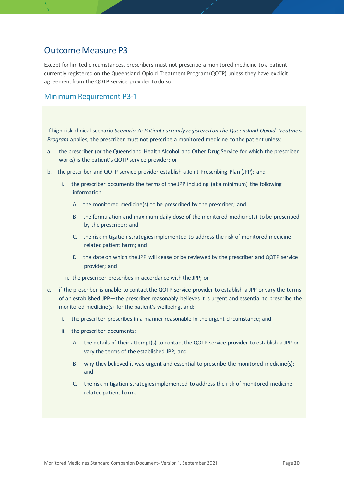## <span id="page-19-0"></span>Outcome Measure P3

Except for limited circumstances, prescribers must not prescribe a monitored medicine to a patient currently registered on the Queensland Opioid Treatment Program (QOTP) unless they have explicit agreement from the QOTP service provider to do so.

## Minimum Requirement P3-1

If high-risk clinical scenario *Scenario A: Patient currently registered on the Queensland Opioid Treatment Program* applies, the prescriber must not prescribe a monitored medicine to the patient unless:

- a. the prescriber (or the Queensland Health Alcohol and Other Drug Service for which the prescriber works) is the patient's QOTP service provider; or
- b. the prescriber and QOTP service provider establish a Joint Prescribing Plan (JPP); and
	- i. the prescriber documents the terms of the JPP including (at a minimum) the following information:
		- A. the monitored medicine(s) to be prescribed by the prescriber; and
		- B. the formulation and maximum daily dose of the monitored medicine(s) to be prescribed by the prescriber; and
		- C. the risk mitigation strategies implemented to address the risk of monitored medicinerelated patient harm; and
		- D. the date on which the JPP will cease or be reviewed by the prescriber and QOTP service provider; and
		- ii. the prescriber prescribes in accordance with the JPP; or
- c. if the prescriber is unable to contact the QOTP service provider to establish a JPP or vary the terms of an established JPP—the prescriber reasonably believes it is urgent and essential to prescribe the monitored medicine(s) for the patient's wellbeing, and:
	- i. the prescriber prescribes in a manner reasonable in the urgent circumstance; and
	- ii. the prescriber documents:
		- A. the details of their attempt(s) to contact the QOTP service provider to establish a JPP or vary the terms of the established JPP; and
		- B. why they believed it was urgent and essential to prescribe the monitored medicine(s); and
		- C. the risk mitigation strategies implemented to address the risk of monitored medicinerelated patient harm.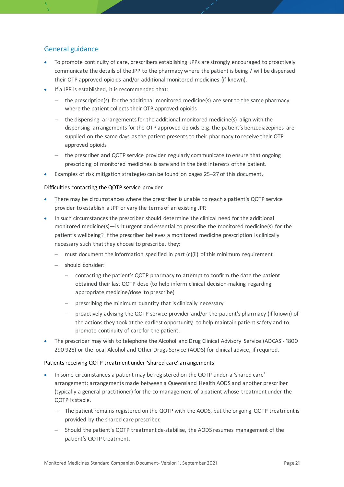## General guidance

- To promote continuity of care, prescribers establishing JPPs are strongly encouraged to proactively communicate the details of the JPP to the pharmacy where the patient is being / will be dispensed their OTP approved opioids and/or additional monitored medicines (if known).
- If a JPP is established, it is recommended that:
	- − the prescription(s) for the additional monitored medicine(s) are sent to the same pharmacy where the patient collects their OTP approved opioids
	- − the dispensing arrangements for the additional monitored medicine(s) align with the dispensing arrangements for the OTP approved opioids e.g. the patient's benzodiazepines are supplied on the same days as the patient presents to their pharmacy to receive their OTP approved opioids
	- − the prescriber and QOTP service provider regularly communicate to ensure that ongoing prescribing of monitored medicines is safe and in the best interests of the patient.
- Examples of risk mitigation strategies can be found on pages 25–27 of this document.

#### Difficulties contacting the QOTP service provider

- There may be circumstances where the prescriber is unable to reach a patient's QOTP service provider to establish a JPP or vary the terms of an existing JPP.
- In such circumstances the prescriber should determine the clinical need for the additional monitored medicine(s)—is it urgent and essential to prescribe the monitored medicine(s) for the patient's wellbeing? If the prescriber believes a monitored medicine prescription is clinically necessary such that they choose to prescribe, they:
	- − must document the information specified in part (c)(ii) of this minimum requirement
	- − should consider:
		- − contacting the patient's QOTP pharmacy to attempt to confirm the date the patient obtained their last QOTP dose (to help inform clinical decision-making regarding appropriate medicine/dose to prescribe)
		- − prescribing the minimum quantity that is clinically necessary
		- − proactively advising the QOTP service provider and/or the patient's pharmacy (if known) of the actions they took at the earliest opportunity, to help maintain patient safety and to promote continuity of care for the patient.
- The prescriber may wish to telephone the Alcohol and Drug Clinical Advisory Service (ADCAS 1800 290 928) or the local Alcohol and Other Drugs Service (AODS) for clinical advice, if required.

#### Patients receiving QOTP treatment under 'shared care' arrangements

- In some circumstances a patient may be registered on the QOTP under a 'shared care' arrangement: arrangements made between a Queensland Health AODS and another prescriber (typically a general practitioner) for the co-management of a patient whose treatment under the QOTP is stable.
	- − The patient remains registered on the QOTP with the AODS, but the ongoing QOTP treatment is provided by the shared care prescriber.
	- Should the patient's QOTP treatment de-stabilise, the AODS resumes management of the patient's QOTP treatment.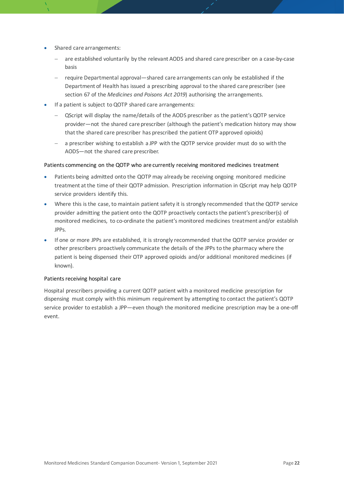- Shared care arrangements:
	- are established voluntarily by the relevant AODS and shared care prescriber on a case-by-case basis
	- − require Departmental approval—shared care arrangements can only be established if the Department of Health has issued a prescribing approval to the shared care prescriber (see section 67 of the *Medicines and Poisons Act 2019*) authorising the arrangements.
- If a patient is subject to QOTP shared care arrangements:
	- − QScript will display the name/details of the AODS prescriber as the patient's QOTP service provider—not the shared care prescriber (although the patient's medication history may show that the shared care prescriber has prescribed the patient OTP approved opioids)
	- a prescriber wishing to establish a JPP with the QOTP service provider must do so with the AODS—not the shared care prescriber.

#### Patients commencing on the QOTP who are currently receiving monitored medicines treatment

- Patients being admitted onto the QOTP may already be receiving ongoing monitored medicine treatment at the time of their QOTP admission. Prescription information in QScript may help QOTP service providers identify this.
- Where this is the case, to maintain patient safety it is strongly recommended that the QOTP service provider admitting the patient onto the QOTP proactively contacts the patient's prescriber(s) of monitored medicines, to co-ordinate the patient's monitored medicines treatment and/or establish JPPs.
- If one or more JPPs are established, it is strongly recommended that the QOTP service provider or other prescribers proactively communicate the details of the JPPs to the pharmacy where the patient is being dispensed their OTP approved opioids and/or additional monitored medicines (if known).

#### Patients receiving hospital care

Hospital prescribers providing a current QOTP patient with a monitored medicine prescription for dispensing must comply with this minimum requirement by attempting to contact the patient's QOTP service provider to establish a JPP—even though the monitored medicine prescription may be a one-off event.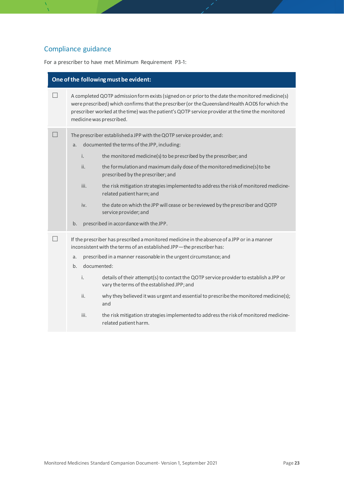# Compliance guidance

For a prescriber to have met Minimum Requirement P3-1:

| One of the following must be evident: |                                              |                                                                                                                                                                                                                                                                                                                                                                                                                                                                                                                                                                                                      |
|---------------------------------------|----------------------------------------------|------------------------------------------------------------------------------------------------------------------------------------------------------------------------------------------------------------------------------------------------------------------------------------------------------------------------------------------------------------------------------------------------------------------------------------------------------------------------------------------------------------------------------------------------------------------------------------------------------|
| - 1                                   | medicine was prescribed.                     | A completed QOTP admission form exists (signed on or prior to the date the monitored medicine(s)<br>were prescribed) which confirms that the prescriber (or the Queensland Health AODS for which the<br>prescriber worked at the time) was the patient's QOTP service provider at the time the monitored                                                                                                                                                                                                                                                                                             |
|                                       | a.<br>i.<br>ii.<br>iii.<br>iv.<br>b.         | The prescriber established a JPP with the QOTP service provider, and:<br>documented the terms of the JPP, including:<br>the monitored medicine(s) to be prescribed by the prescriber; and<br>the formulation and maximum daily dose of the monitored medicine(s) to be<br>prescribed by the prescriber; and<br>the risk mitigation strategies implemented to address the risk of monitored medicine-<br>related patient harm; and<br>the date on which the JPP will cease or be reviewed by the prescriber and QOTP<br>service provider; and<br>prescribed in accordance with the JPP.               |
|                                       | a.<br>documented:<br>b.<br>i.<br>ii.<br>iii. | If the prescriber has prescribed a monitored medicine in the absence of a JPP or in a manner<br>inconsistent with the terms of an established JPP-the prescriber has:<br>prescribed in a manner reasonable in the urgent circumstance; and<br>details of their attempt(s) to contact the QOTP service provider to establish a JPP or<br>vary the terms of the established JPP; and<br>why they believed it was urgent and essential to prescribe the monitored medicine(s);<br>and<br>the risk mitigation strategies implemented to address the risk of monitored medicine-<br>related patient harm. |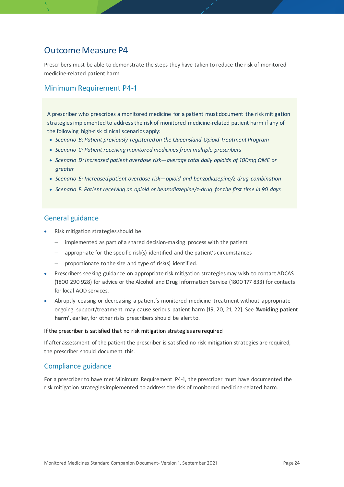## <span id="page-23-0"></span>Outcome Measure P4

Prescribers must be able to demonstrate the steps they have taken to reduce the risk of monitored medicine-related patient harm.

### Minimum Requirement P4-1

A prescriber who prescribes a monitored medicine for a patient must document the risk mitigation strategies implemented to address the risk of monitored medicine-related patient harm if any of the following high-risk clinical scenarios apply:

- *Scenario B: Patient previously registered on the Queensland Opioid Treatment Program*
- *Scenario C: Patient receiving monitored medicines from multiple prescribers*
- *Scenario D: Increased patient overdose risk—average total daily opioids of 100mg OME or greater*
- *Scenario E: Increased patient overdose risk—opioid and benzodiazepine/z-drug combination*
- *Scenario F: Patient receiving an opioid or benzodiazepine/z-drug for the first time in 90 days*

### General guidance

- Risk mitigation strategies should be:
	- − implemented as part of a shared decision-making process with the patient
	- appropriate for the specific risk(s) identified and the patient's circumstances
	- − proportionate to the size and type of risk(s) identified.
- Prescribers seeking guidance on appropriate risk mitigation strategies may wish to contact ADCAS (1800 290 928) for advice or the Alcohol and Drug Information Service (1800 177 833) for contacts for local AOD services.
- Abruptly ceasing or decreasing a patient's monitored medicine treatment without appropriate ongoing support/treatment may cause serious patient harm [[19,](#page-50-0) 20, 21[, 22](#page-50-1)]. See **'Avoiding patient harm'**, earlier, for other risks prescribers should be alert to.

#### If the prescriber is satisfied that no risk mitigation strategies are required

If after assessment of the patient the prescriber is satisfied no risk mitigation strategies are required, the prescriber should document this.

### Compliance guidance

For a prescriber to have met Minimum Requirement P4-1, the prescriber must have documented the risk mitigation strategies implemented to address the risk of monitored medicine-related harm.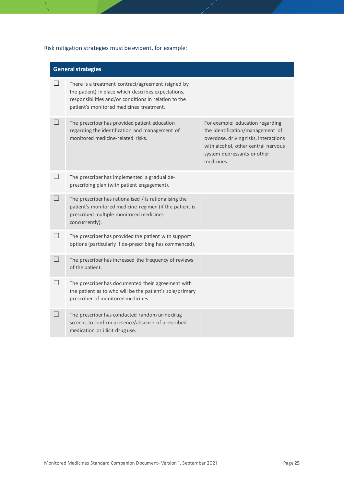## Risk mitigation strategies must be evident, for example:

|                   | <b>General strategies</b>                                                                                                                                                                                      |                                                                                                                                                                                                   |  |
|-------------------|----------------------------------------------------------------------------------------------------------------------------------------------------------------------------------------------------------------|---------------------------------------------------------------------------------------------------------------------------------------------------------------------------------------------------|--|
|                   | There is a treatment contract/agreement (signed by<br>the patient) in place which describes expectations,<br>responsibilities and/or conditions in relation to the<br>patient's monitored medicines treatment. |                                                                                                                                                                                                   |  |
| $\vert \ \ \vert$ | The prescriber has provided patient education<br>regarding the identification and management of<br>monitored medicine-related risks.                                                                           | For example: education regarding<br>the identification/management of<br>overdose, driving risks, interactions<br>with alcohol, other central nervous<br>system depressants or other<br>medicines. |  |
| $\Box$            | The prescriber has implemented a gradual de-<br>prescribing plan (with patient engagement).                                                                                                                    |                                                                                                                                                                                                   |  |
|                   | The prescriber has rationalised $/$ is rationalising the<br>patient's monitored medicine regimen (if the patient is<br>prescribed multiple monitored medicines<br>concurrently).                               |                                                                                                                                                                                                   |  |
| $\Box$            | The prescriber has provided the patient with support<br>options (particularly if de-prescribing has commenced).                                                                                                |                                                                                                                                                                                                   |  |
|                   | The prescriber has increased the frequency of reviews<br>of the patient.                                                                                                                                       |                                                                                                                                                                                                   |  |
| $\perp$           | The prescriber has documented their agreement with<br>the patient as to who will be the patient's sole/primary<br>prescriber of monitored medicines.                                                           |                                                                                                                                                                                                   |  |
|                   | The prescriber has conducted random urine drug<br>screens to confirm presence/absence of prescribed<br>medication or illicit druguse.                                                                          |                                                                                                                                                                                                   |  |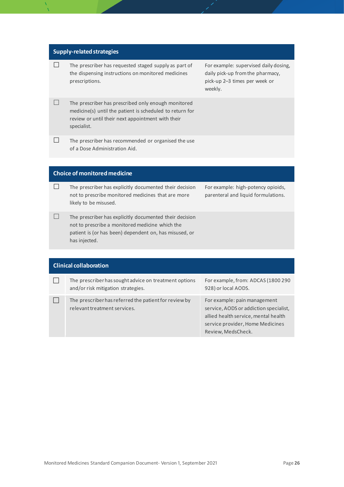#### **Supply-related strategies**

 $\Box$  The prescriber has requested staged supply as part of the dispensing instructions on monitored medicines prescriptions.

For example: supervised daily dosing, daily pick-up from the pharmacy, pick-up 2–3 times per week or weekly.

- The prescriber has prescribed only enough monitored medicine(s) until the patient is scheduled to return for review or until their next appointment with their specialist.
- $\Box$  The prescriber has recommended or organised the use of a Dose Administration Aid.

#### **Choice of monitored medicine**

- $\Box$  The prescriber has explicitly documented their decision not to prescribe monitored medicines that are more likely to be misused.
- $\Box$  The prescriber has explicitly documented their decision not to prescribe a monitored medicine which the patient is (or has been) dependent on, has misused, or has injected.

For example: high-potency opioids, parenteral and liquid formulations.

| <b>Clinical collaboration</b> |                                                                                             |                                                                                                                                                                          |
|-------------------------------|---------------------------------------------------------------------------------------------|--------------------------------------------------------------------------------------------------------------------------------------------------------------------------|
|                               | The prescriber has sought advice on treatment options<br>and/or risk mitigation strategies. | For example, from: ADCAS (1800 290)<br>928) or local AODS.                                                                                                               |
|                               | The prescriber has referred the patient for review by<br>relevant treatment services.       | For example: pain management<br>service, AODS or addiction specialist,<br>allied health service, mental health<br>service provider, Home Medicines<br>Review, MedsCheck. |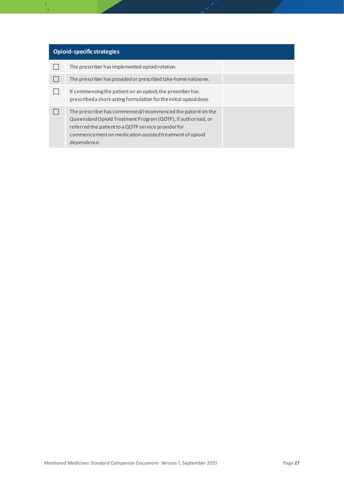| Opioid-specific strategies |                                                                                                                                                                                                                                                               |  |
|----------------------------|---------------------------------------------------------------------------------------------------------------------------------------------------------------------------------------------------------------------------------------------------------------|--|
|                            | The prescriber has implemented opioid rotation.                                                                                                                                                                                                               |  |
|                            | The prescriber has provided or prescribed take-home naloxone.                                                                                                                                                                                                 |  |
|                            | If commencing the patient on an opioid; the prescriber has<br>prescribed a short-acting formulation for the initial opioid dose.                                                                                                                              |  |
|                            | The prescriber has commenced/recommenced the patient on the<br>Queensland Opioid Treatment Program (QOTP), if authorised, or<br>referred the patient to a QOTP service provider for<br>commencement on medication-assisted treatment of opioid<br>dependence. |  |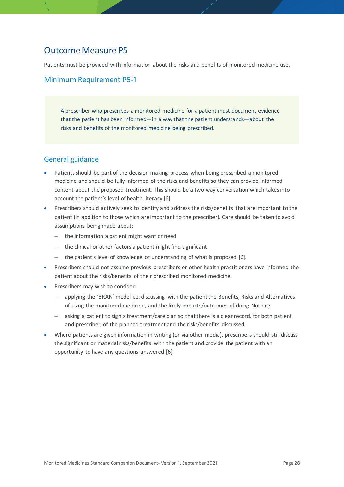## <span id="page-27-0"></span>Outcome Measure P5

Patients must be provided with information about the risks and benefits of monitored medicine use.

### Minimum Requirement P5-1

A prescriber who prescribes a monitored medicine for a patient must document evidence that the patient has been informed—in a way that the patient understands—about the risks and benefits of the monitored medicine being prescribed.

- Patients should be part of the decision-making process when being prescribed a monitored medicine and should be fully informed of the risks and benefits so they can provide informed consent about the proposed treatment. This should be a two-way conversation which takes into account the patient's level of health literacy [6].
- Prescribers should actively seek to identify and address the risks/benefits that are important to the patient (in addition to those which are important to the prescriber). Care should be taken to avoid assumptions being made about:
	- − the information a patient might want or need
	- the clinical or other factors a patient might find significant
	- − the patient's level of knowledge or understanding of what is proposed [6].
- Prescribers should not assume previous prescribers or other health practitioners have informed the patient about the risks/benefits of their prescribed monitored medicine.
- Prescribers may wish to consider:
	- applying the 'BRAN' model i.e. discussing with the patient the Benefits, Risks and Alternatives of using the monitored medicine, and the likely impacts/outcomes of doing Nothing
	- − asking a patient to sign a treatment/care plan so that there is a clear record, for both patient and prescriber, of the planned treatment and the risks/benefits discussed.
- Where patients are given information in writing (or via other media), prescribers should still discuss the significant or material risks/benefits with the patient and provide the patient with an opportunity to have any questions answered [6].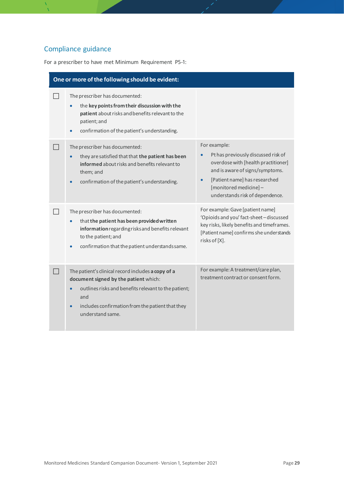# Compliance guidance

For a prescriber to have met Minimum Requirement P5-1:

| One or more of the following should be evident:                                                                                                                                                                                                              |                                                                                                                                                                                                                            |
|--------------------------------------------------------------------------------------------------------------------------------------------------------------------------------------------------------------------------------------------------------------|----------------------------------------------------------------------------------------------------------------------------------------------------------------------------------------------------------------------------|
| The prescriber has documented:<br>the key points from their discussion with the<br>patient about risks and benefits relevant to the<br>patient; and<br>confirmation of the patient's understanding.<br>$\bullet$                                             |                                                                                                                                                                                                                            |
| The prescriber has documented:<br>they are satisfied that that the patient has been<br>informed about risks and benefits relevant to<br>them; and<br>confirmation of the patient's understanding.<br>$\bullet$                                               | For example:<br>Pt has previously discussed risk of<br>overdose with [health practitioner]<br>and is aware of signs/symptoms.<br>[Patient name] has researched<br>[monitored medicine]-<br>understands risk of dependence. |
| The prescriber has documented:<br>that the patient has been provided written<br>information regarding risks and benefits relevant<br>to the patient; and<br>confirmation that the patient understands same.                                                  | For example: Gave [patient name]<br>'Opioids and you' fact-sheet-discussed<br>key risks, likely benefits and timeframes.<br>[Patient name] confirms she understands<br>risks of [X].                                       |
| The patient's clinical record includes a copy of a<br>document signed by the patient which:<br>outlines risks and benefits relevant to the patient;<br>$\bullet$<br>and<br>includes confirmation from the patient that they<br>$\bullet$<br>understand same. | For example: A treatment/care plan,<br>treatment contract or consent form.                                                                                                                                                 |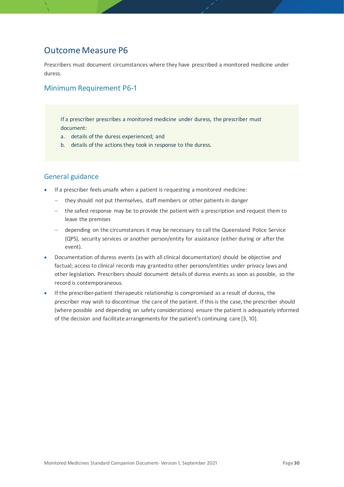## <span id="page-29-0"></span>Outcome Measure P6

Prescribers must document circumstances where they have prescribed a monitored medicine under duress.

## Minimum Requirement P6-1

If a prescriber prescribes a monitored medicine under duress, the prescriber must document:

- a. details of the duress experienced; and
- b. details of the actions they took in response to the duress.

- If a prescriber feels unsafe when a patient is requesting a monitored medicine:
	- − they should not put themselves, staff members or other patients in danger
	- − the safest response may be to provide the patient with a prescription and request them to leave the premises
	- − depending on the circumstances it may be necessary to call the Queensland Police Service (QPS), security services or another person/entity for assistance (either during or after the event).
- Documentation of duress events (as with all clinical documentation) should be objective and factual; access to clinical records may granted to other persons/entities under privacy laws and other legislation. Prescribers should document details of duress events as soon as possible, so the record is contemporaneous.
- If the prescriber-patient therapeutic relationship is compromised as a result of duress, the prescriber may wish to discontinue the care of the patient. If this is the case, the prescriber should (where possible and depending on safety considerations) ensure the patient is adequately informed of the decision and facilitate arrangements for the patient's continuing care [3, 10].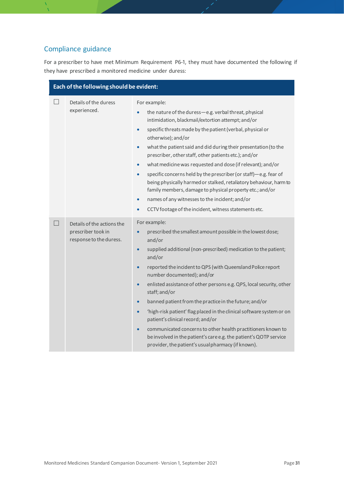# Compliance guidance

For a prescriber to have met Minimum Requirement P6-1, they must have documented the following if they have prescribed a monitored medicine under duress:

| Each of the following should be evident: |                                                                             |                                                                                                                                                                                                                                                                                                                                                                                                                                                                                                                                                                                                                                                                                                                                                                                                                     |
|------------------------------------------|-----------------------------------------------------------------------------|---------------------------------------------------------------------------------------------------------------------------------------------------------------------------------------------------------------------------------------------------------------------------------------------------------------------------------------------------------------------------------------------------------------------------------------------------------------------------------------------------------------------------------------------------------------------------------------------------------------------------------------------------------------------------------------------------------------------------------------------------------------------------------------------------------------------|
|                                          | Details of the duress<br>experienced.                                       | For example:<br>the nature of the duress-e.g. verbal threat, physical<br>$\bullet$<br>intimidation, blackmail/extortion attempt; and/or<br>specific threats made by the patient (verbal, physical or<br>$\bullet$<br>otherwise); and/or<br>what the patient said and did during their presentation (to the<br>$\bullet$<br>prescriber, other staff, other patients etc.); and/or<br>what medicine was requested and dose (if relevant); and/or<br>$\bullet$<br>specific concerns held by the prescriber (or staff)-e.g. fear of<br>$\bullet$<br>being physically harmed or stalked, retaliatory behaviour, harm to<br>family members, damage to physical property etc.; and/or<br>names of any witnesses to the incident; and/or<br>$\bullet$<br>CCTV footage of the incident, witness statements etc.<br>$\bullet$ |
|                                          | Details of the actions the<br>prescriber took in<br>response to the duress. | For example:<br>prescribed the smallest amount possible in the lowest dose;<br>and/or<br>supplied additional (non-prescribed) medication to the patient;<br>$\bullet$<br>and/or<br>reported the incident to QPS (with Queensland Police report<br>$\bullet$<br>number documented); and/or<br>enlisted assistance of other persons e.g. QPS, local security, other<br>$\bullet$<br>staff; and/or<br>banned patient from the practice in the future; and/or<br>$\bullet$<br>'high-risk patient' flag placed in the clinical software system or on<br>$\bullet$<br>patient's clinical record; and/or<br>communicated concerns to other health practitioners known to<br>$\bullet$<br>be involved in the patient's care e.g. the patient's QOTP service<br>provider, the patient's usual pharmacy (if known).           |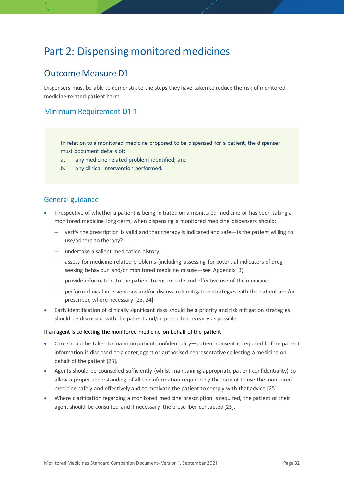# <span id="page-31-0"></span>Part 2: Dispensing monitored medicines

## <span id="page-31-1"></span>Outcome Measure D1

Dispensers must be able to demonstrate the steps they have taken to reduce the risk of monitored medicine-related patient harm.

## Minimum Requirement D1-1

In relation to a monitored medicine proposed to be dispensed for a patient, the dispenser must document details of:

- a. any medicine-related problem identified; and
- b. any clinical intervention performed.

### General guidance

- Irrespective of whether a patient is being initiated on a monitored medicine or has been taking a monitored medicine long-term, when dispensing a monitored medicine dispensers should:
	- − verify the prescription is valid and that therapy is indicated and safe—Is the patient willing to use/adhere to therapy?
	- − undertake a salient medication history
	- − assess for medicine-related problems (including assessing for potential indicators of drugseeking behaviour and/or monitored medicine misuse—see Appendix B)
	- − provide information to the patient to ensure safe and effective use of the medicine
	- perform clinical interventions and/or discuss risk mitigation strategies with the patient and/or prescriber, where necessary [[23,](#page-50-2) [24](#page-50-3)].
- Early identification of clinically significant risks should be a priority and risk mitigation strategies should be discussed with the patient and/or prescriber as early as possible.

#### If an agent is collecting the monitored medicine on behalf of the patient

- Care should be taken to maintain patient confidentiality—patient consent is required before patient information is disclosed to a carer, agent or authorised representative collecting a medicine on behalf of the patient [[23](#page-50-2)].
- Agents should be counselled sufficiently (whilst maintaining appropriate patient confidentiality) to allow a proper understanding of all the information required by the patient to use the monitored medicine safely and effectively and to motivate the patient to comply with that advice [[25](#page-50-4)].
- Where clarification regarding a monitored medicine prescription is required, the patient or their agent should be consulted and if necessary, the prescriber contacted [[25](#page-50-4)].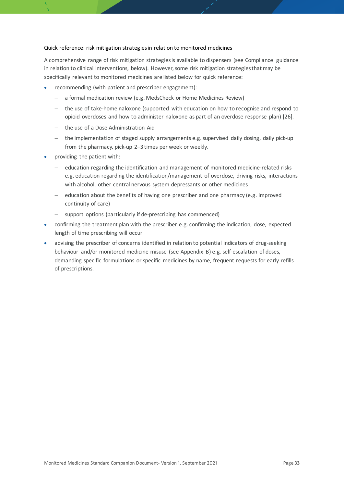#### Quick reference: risk mitigation strategies in relation to monitored medicines

A comprehensive range of risk mitigation strategies is available to dispensers (see Compliance guidance in relation to clinical interventions, below). However, some risk mitigation strategies that may be specifically relevant to monitored medicines are listed below for quick reference:

- recommending (with patient and prescriber engagement):
	- − a formal medication review (e.g. MedsCheck or Home Medicines Review)
	- − the use of take-home naloxone (supported with education on how to recognise and respond to opioid overdoses and how to administer naloxone as part of an overdose response plan) [[26](#page-50-5)].
	- − the use of a Dose Administration Aid
	- − the implementation of staged supply arrangements e.g. supervised daily dosing, daily pick-up from the pharmacy, pick-up 2–3 times per week or weekly.
- providing the patient with:
	- − education regarding the identification and management of monitored medicine-related risks e.g. education regarding the identification/management of overdose, driving risks, interactions with alcohol, other central nervous system depressants or other medicines
	- − education about the benefits of having one prescriber and one pharmacy (e.g. improved continuity of care)
	- support options (particularly if de-prescribing has commenced)
- confirming the treatment plan with the prescriber e.g. confirming the indication, dose, expected length of time prescribing will occur
- advising the prescriber of concerns identified in relation to potential indicators of drug-seeking behaviour and/or monitored medicine misuse (see Appendix B) e.g. self-escalation of doses, demanding specific formulations or specific medicines by name, frequent requests for early refills of prescriptions.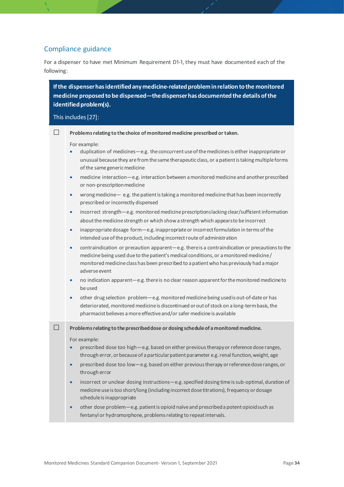## Compliance guidance

For a dispenser to have met Minimum Requirement D1-1, they must have documented each of the following:

**If the dispenser has identified any medicine-related problem in relation to the monitored medicine proposed to be dispensed—the dispenser has documented the details of the identified problem(s).**

#### This includes[[27](#page-50-6)]:

**Problems relating to the choice of monitored medicine prescribed or taken.** 

For example:

- duplication of medicines—e.g. the concurrent use of the medicines is either inappropriate or unusual because they are from the same therapeutic class, or a patient is taking multiple forms of the same generic medicine
- medicine interaction—e.g. interaction between a monitored medicine and another prescribed or non-prescription medicine
- wrong medicine— e.g. the patient is taking a monitored medicine that has been incorrectly prescribed or incorrectly dispensed
- incorrect strength—e.g. monitored medicine prescriptions lacking clear/sufficientinformation about the medicine strength or which show a strength which appears to be incorrect
- inappropriate dosage form—e.g. inappropriate or incorrect formulation in terms of the intended use of the product, including incorrect route of administration
- contraindication or precaution apparent—e.g. there is a contraindication or precautions to the medicine being used due to the patient's medical conditions, or a monitored medicine / monitored medicine class has been prescribed to a patient who has previously had a major adverse event
- no indication apparent—e.g. there is no clear reason apparent for the monitored medicine to be used
- other drug selection problem—e.g. monitored medicine being used is out-of-date or has deteriorated, monitored medicine is discontinued or out of stock on a long-term basis, the pharmacist believes a more effective and/or safer medicine is available

**Problems relating to the prescribed dose or dosing schedule of a monitored medicine.**

For example:

- prescribed dose too high—e.g. based on either previous therapy or reference dose ranges, through error, or because of a particular patient parameter e.g. renal function, weight, age
- prescribed dose too low—e.g. based on either previous therapy or reference dose ranges, or through error
- incorrect or unclear dosing instructions—e.g. specified dosing time is sub-optimal, duration of medicine use is too short/long (including incorrect dose titrations), frequency or dosage schedule is inappropriate
- other dose problem—e.g. patient is opioid naïve and prescribed a potent opioid such as fentanyl or hydromorphone, problems relating to repeat intervals.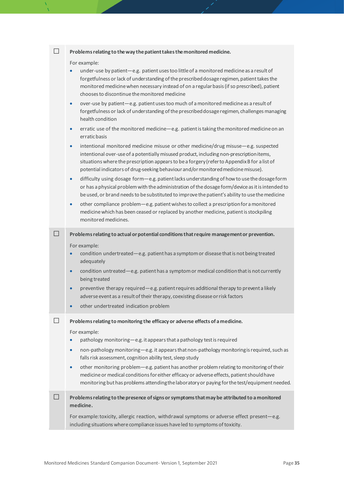|        | Problems relating to the way the patient takes the monitored medicine.                                                                                                                                                                                                                                                                                                                                                                                                                                                                                                                                                                                                                                                                                                                                                      |
|--------|-----------------------------------------------------------------------------------------------------------------------------------------------------------------------------------------------------------------------------------------------------------------------------------------------------------------------------------------------------------------------------------------------------------------------------------------------------------------------------------------------------------------------------------------------------------------------------------------------------------------------------------------------------------------------------------------------------------------------------------------------------------------------------------------------------------------------------|
|        | For example:<br>under-use by patient-e.g. patient uses too little of a monitored medicine as a result of<br>$\bullet$<br>forgetfulness or lack of understanding of the prescribed dosage regimen, patient takes the<br>monitored medicine when necessary instead of on a regular basis (if so prescribed), patient<br>chooses to discontinue the monitored medicine<br>over-use by patient-e.g. patient uses too much of a monitored medicine as a result of<br>$\bullet$<br>forgetfulness or lack of understanding of the prescribed dosage regimen, challenges managing<br>health condition<br>erratic use of the monitored medicine—e.g. patient is taking the monitored medicine on an<br>$\bullet$<br>erratic basis<br>intentional monitored medicine misuse or other medicine/drug misuse-e.g. suspected<br>$\bullet$ |
|        | intentional over-use of a potentially misused product, including non-prescription items,<br>situations where the prescription appears to be a forgery (refer to Appendix B for a list of<br>potential indicators of drug-seeking behaviour and/or monitored medicine misuse).                                                                                                                                                                                                                                                                                                                                                                                                                                                                                                                                               |
|        | difficulty using dosage form-e.g. patient lacks understanding of how to use the dosage form<br>$\bullet$<br>or has a physical problem with the administration of the dosage form/device as it is intended to<br>be used, or brand needs to be substituted to improve the patient's ability to use the medicine                                                                                                                                                                                                                                                                                                                                                                                                                                                                                                              |
|        | other compliance problem—e.g. patient wishes to collect a prescription for a monitored<br>$\bullet$<br>medicine which has been ceased or replaced by another medicine, patient is stockpiling<br>monitored medicines.                                                                                                                                                                                                                                                                                                                                                                                                                                                                                                                                                                                                       |
| $\Box$ | Problems relating to actual or potential conditions that require management or prevention.                                                                                                                                                                                                                                                                                                                                                                                                                                                                                                                                                                                                                                                                                                                                  |
|        | For example:<br>condition undertreated-e.g. patient has a symptom or disease that is not being treated<br>adequately<br>condition untreated - e.g. patient has a symptom or medical condition that is not currently<br>$\bullet$                                                                                                                                                                                                                                                                                                                                                                                                                                                                                                                                                                                            |
|        | being treated<br>preventive therapy required—e.g. patient requires additional therapy to prevent a likely<br>$\bullet$<br>adverse event as a result of their therapy, coexisting disease or risk factors<br>other undertreated indication problem                                                                                                                                                                                                                                                                                                                                                                                                                                                                                                                                                                           |
|        | Problems relating to monitoring the efficacy or adverse effects of a medicine.<br>For example:<br>pathology monitoring-e.g. it appears that a pathology test is required<br>non-pathology monitoring—e.g. it appears that non-pathology monitoring is required, such as<br>$\bullet$                                                                                                                                                                                                                                                                                                                                                                                                                                                                                                                                        |
|        | falls risk assessment, cognition ability test, sleep study<br>other monitoring problem-e.g. patient has another problem relating to monitoring of their<br>$\bullet$<br>medicine or medical conditions for either efficacy or adverse effects, patient should have<br>monitoring but has problems attending the laboratory or paying for the test/equipment needed.                                                                                                                                                                                                                                                                                                                                                                                                                                                         |
| a se   | Problems relating to the presence of signs or symptoms that may be attributed to a monitored<br>medicine.                                                                                                                                                                                                                                                                                                                                                                                                                                                                                                                                                                                                                                                                                                                   |
|        | For example: toxicity, allergic reaction, withdrawal symptoms or adverse effect present-e.g.<br>including situations where compliance issues have led to symptoms of toxicity.                                                                                                                                                                                                                                                                                                                                                                                                                                                                                                                                                                                                                                              |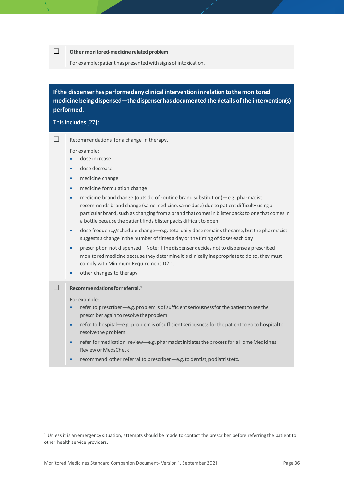#### **Other monitored-medicine related problem**

For example: patient has presented with signs of intoxication.

## **If the dispenser has performed any clinical intervention in relation to the monitored medicine being dispensed—the dispenser has documented the details of the intervention(s) performed.**

#### This includes[[27](#page-50-6)]:

 $\Box$  Recommendations for a change in therapy.

For example:

- dose increase
- dose decrease
- medicine change
- medicine formulation change
- medicine brand change (outside of routine brand substitution)—e.g. pharmacist recommends brand change (same medicine, same dose) due to patient difficulty using a particular brand, such as changing from a brand that comes in blister packs to one that comes in a bottle because the patient finds blister packs difficult to open
- dose frequency/schedule change—e.g. total daily dose remains the same, but the pharmacist suggests a change in the number of times a day or the timing of doses each day
- prescription not dispensed—Note: If the dispenser decides not to dispense a prescribed monitored medicine because they determine it is clinically inappropriate to do so, they must comply with Minimum Requirement D2-1.
- other changes to therapy

#### **Recommendations for referral. [1](#page-35-0)**

For example:

- refer to prescriber—e.g. problem is of sufficient seriousness for the patient to see the prescriber again to resolve the problem
- refer to hospital—e.g. problem is of sufficient seriousness for the patient to go to hospital to resolve the problem
- refer for medication review—e.g. pharmacist initiates the process for a Home Medicines Review or MedsCheck
- recommend other referral to prescriber—e.g. to dentist, podiatrist etc.

<span id="page-35-0"></span> $1$  Unless it is an emergency situation, attempts should be made to contact the prescriber before referring the patient to other health service providers.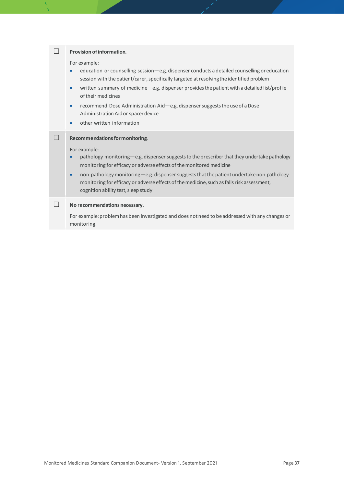| <b>Provision of information.</b>                                                                                                                                                                                                                                                                                                                                                                                                                                                                                                       |
|----------------------------------------------------------------------------------------------------------------------------------------------------------------------------------------------------------------------------------------------------------------------------------------------------------------------------------------------------------------------------------------------------------------------------------------------------------------------------------------------------------------------------------------|
| For example:<br>education or counselling session-e.g. dispenser conducts a detailed counselling or education<br>$\bullet$<br>session with the patient/carer, specifically targeted at resolving the identified problem<br>written summary of medicine-e.g. dispenser provides the patient with a detailed list/profile<br>$\bullet$<br>of their medicines<br>recommend Dose Administration Aid—e.g. dispenser suggests the use of a Dose<br>$\bullet$<br>Administration Aid or spacer device<br>other written information<br>$\bullet$ |
| Recommendations for monitoring.<br>For example:<br>pathology monitoring-e.g. dispenser suggests to the prescriber that they undertake pathology<br>monitoring for efficacy or adverse effects of the monitored medicine<br>non-pathology monitoring-e.g. dispenser suggests that the patient undertake non-pathology<br>$\bullet$<br>monitoring for efficacy or adverse effects of the medicine, such as falls risk assessment,<br>cognition ability test, sleep study                                                                 |
| No recommendations necessary.<br>For example: problem has been investigated and does not need to be addressed with any changes or<br>monitoring.                                                                                                                                                                                                                                                                                                                                                                                       |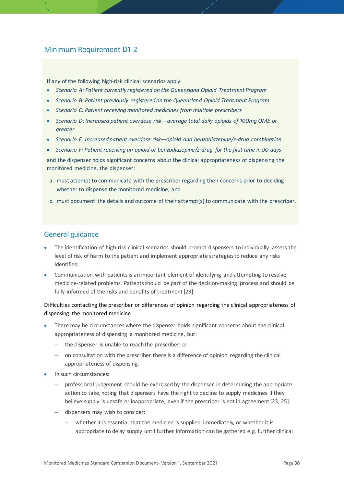## Minimum Requirement D1-2

If any of the following high-risk clinical scenarios apply:

- *Scenario A: Patient currently registered on the Queensland Opioid Treatment Program*
- *Scenario B: Patient previously registered on the Queensland Opioid Treatment Program*
- *Scenario C: Patient receiving monitored medicines from multiple prescribers*
- Scenario D: Increased patient overdose risk—average total daily opioids of 100mg OME or *greater*
- *Scenario E: Increased patient overdose risk—opioid and benzodiazepine/z-drug combination*
- *Scenario F: Patient receiving an opioid or benzodiazepine/z-drug for the first time in 90 days*

and the dispenser holds significant concerns about the clinical appropriateness of dispensing the monitored medicine, the dispenser:

- a. must attempt to communicate with the prescriber regarding their concerns prior to deciding whether to dispense the monitored medicine; and
- b. must document the details and outcome of their attempt(s) to communicate with the prescriber.

### General guidance

- The identification of high-risk clinical scenarios should prompt dispensers to individually assess the level of risk of harm to the patient and implement appropriate strategies to reduce any risks identified.
- Communication with patients is an important element of identifying and attempting to resolve medicine-related problems. Patients should be part of the decision-making process and should be fully informed of the risks and benefits of treatment [[23](#page-50-2)].

#### Difficulties contacting the prescriber or differences of opinion regarding the clinical appropriateness of dispensing the monitored medicine

- There may be circumstances where the dispenser holds significant concerns about the clinical appropriateness of dispensing a monitored medicine, but:
	- − the dispenser is unable to reach the prescriber; or
	- on consultation with the prescriber there is a difference of opinion regarding the clinical appropriateness of dispensing.
- In such circumstances:
	- − professional judgement should be exercised by the dispenser in determining the appropriate action to take, noting that dispensers have the right to decline to supply medicines if they believe supply is unsafe or inappropriate, even if the prescriber is not in agreement [[23,](#page-50-2) [25](#page-50-4)].
	- − dispensers may wish to consider:
		- whether it is essential that the medicine is supplied immediately, or whether it is appropriate to delay supply until further information can be gathered e.g. further clinical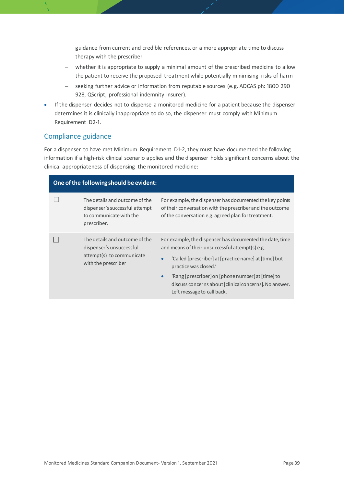guidance from current and credible references, or a more appropriate time to discuss therapy with the prescriber

- − whether it is appropriate to supply a minimal amount of the prescribed medicine to allow the patient to receive the proposed treatment while potentially minimising risks of harm
- − seeking further advice or information from reputable sources (e.g. ADCAS ph: 1800 290 928, QScript, professional indemnity insurer).
- If the dispenser decides not to dispense a monitored medicine for a patient because the dispenser determines it is clinically inappropriate to do so, the dispenser must comply with Minimum Requirement D2-1.

### Compliance guidance

For a dispenser to have met Minimum Requirement D1-2, they must have documented the following information if a high-risk clinical scenario applies and the dispenser holds significant concerns about the clinical appropriateness of dispensing the monitored medicine:

| One of the following should be evident: |                                                                                                                |                                                                                                                                                                                                                                                                                                                                                                      |
|-----------------------------------------|----------------------------------------------------------------------------------------------------------------|----------------------------------------------------------------------------------------------------------------------------------------------------------------------------------------------------------------------------------------------------------------------------------------------------------------------------------------------------------------------|
|                                         | The details and outcome of the<br>dispenser's successful attempt<br>to communicate with the<br>prescriber.     | For example, the dispenser has documented the key points<br>of their conversation with the prescriber and the outcome<br>of the conversation e.g. agreed plan for treatment.                                                                                                                                                                                         |
|                                         | The details and outcome of the<br>dispenser's unsuccessful<br>attempt(s) to communicate<br>with the prescriber | For example, the dispenser has documented the date, time<br>and means of their unsuccessful attempt(s) e.g.<br>'Called [prescriber] at [practice name] at [time] but<br>$\bullet$<br>practice was closed.'<br>'Rang [prescriber] on [phone number] at [time] to<br>$\bullet$<br>discuss concerns about [clinical concerns]. No answer.<br>Left message to call back. |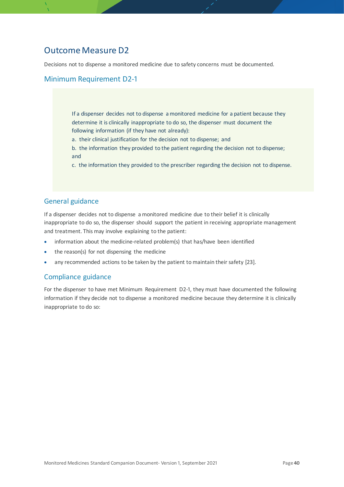## <span id="page-39-0"></span>Outcome Measure D2

Decisions not to dispense a monitored medicine due to safety concerns must be documented.

## Minimum Requirement D2-1

If a dispenser decides not to dispense a monitored medicine for a patient because they determine it is clinically inappropriate to do so, the dispenser must document the following information (if they have not already):

- a. their clinical justification for the decision not to dispense; and
- b. the information they provided to the patient regarding the decision not to dispense; and
- c. the information they provided to the prescriber regarding the decision not to dispense.

### General guidance

If a dispenser decides not to dispense a monitored medicine due to their belief it is clinically inappropriate to do so, the dispenser should support the patient in receiving appropriate management and treatment. This may involve explaining to the patient:

- information about the medicine-related problem(s) that has/have been identified
- the reason(s) for not dispensing the medicine
- any recommended actions to be taken by the patient to maintain their safety [[23](#page-50-2)].

### Compliance guidance

For the dispenser to have met Minimum Requirement D2-1, they must have documented the following information if they decide not to dispense a monitored medicine because they determine it is clinically inappropriate to do so: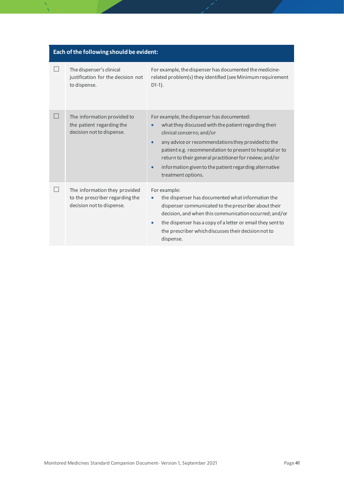| Each of the following should be evident: |                                                                                               |                                                                                                                                                                                                                                                                                                                                                                                                                        |
|------------------------------------------|-----------------------------------------------------------------------------------------------|------------------------------------------------------------------------------------------------------------------------------------------------------------------------------------------------------------------------------------------------------------------------------------------------------------------------------------------------------------------------------------------------------------------------|
|                                          | The dispenser's clinical<br>justification for the decision not<br>to dispense.                | For example, the dispenser has documented the medicine-<br>related problem(s) they identified (see Minimum requirement<br>$D1-1$ ).                                                                                                                                                                                                                                                                                    |
|                                          | The information provided to<br>the patient regarding the<br>decision not to dispense.         | For example, the dispenser has documented:<br>what they discussed with the patient regarding their<br>clinical concerns; and/or<br>any advice or recommendations they provided to the<br>$\bullet$<br>patient e.g. recommendation to present to hospital or to<br>return to their general practitioner for review; and/or<br>information given to the patient regarding alternative<br>$\bullet$<br>treatment options. |
|                                          | The information they provided<br>to the prescriber regarding the<br>decision not to dispense. | For example:<br>the dispenser has documented what information the<br>$\bullet$<br>dispenser communicated to the prescriber about their<br>decision, and when this communication occurred; and/or<br>the dispenser has a copy of a letter or email they sent to<br>$\bullet$<br>the prescriber which discusses their decision not to<br>dispense.                                                                       |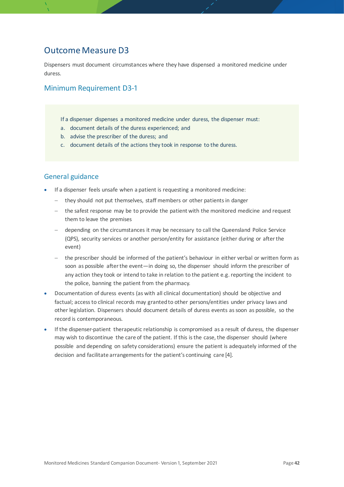## <span id="page-41-0"></span>Outcome Measure D3

Dispensers must document circumstances where they have dispensed a monitored medicine under duress.

## Minimum Requirement D3-1

- If a dispenser dispenses a monitored medicine under duress, the dispenser must:
- a. document details of the duress experienced; and
- b. advise the prescriber of the duress; and
- c. document details of the actions they took in response to the duress.

- If a dispenser feels unsafe when a patient is requesting a monitored medicine:
	- − they should not put themselves, staff members or other patients in danger
	- − the safest response may be to provide the patient with the monitored medicine and request them to leave the premises
	- − depending on the circumstances it may be necessary to call the Queensland Police Service (QPS), security services or another person/entity for assistance (either during or after the event)
	- − the prescriber should be informed of the patient's behaviour in either verbal or written form as soon as possible after the event—in doing so, the dispenser should inform the prescriber of any action they took or intend to take in relation to the patient e.g. reporting the incident to the police, banning the patient from the pharmacy.
- Documentation of duress events (as with all clinical documentation) should be objective and factual; access to clinical records may granted to other persons/entities under privacy laws and other legislation. Dispensers should document details of duress events as soon as possible, so the record is contemporaneous.
- If the dispenser-patient therapeutic relationship is compromised as a result of duress, the dispenser may wish to discontinue the care of the patient. If this is the case, the dispenser should (where possible and depending on safety considerations) ensure the patient is adequately informed of the decision and facilitate arrangements for the patient's continuing care [4].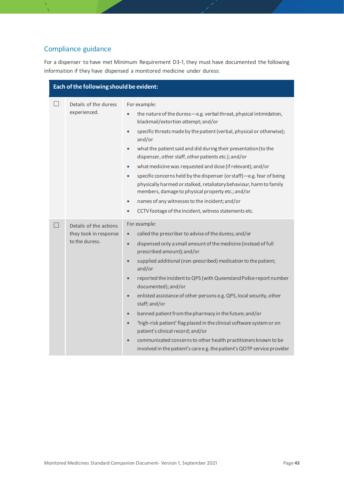## Compliance guidance

For a dispenser to have met Minimum Requirement D3-1, they must have documented the following information if they have dispensed a monitored medicine under duress:

| Each of the following should be evident: |                                                                   |                                                                                                                                                                                                                                                                                                                                                                                                                                                                                                                                                                                                                                                                                                                                                                                                                                                                        |
|------------------------------------------|-------------------------------------------------------------------|------------------------------------------------------------------------------------------------------------------------------------------------------------------------------------------------------------------------------------------------------------------------------------------------------------------------------------------------------------------------------------------------------------------------------------------------------------------------------------------------------------------------------------------------------------------------------------------------------------------------------------------------------------------------------------------------------------------------------------------------------------------------------------------------------------------------------------------------------------------------|
|                                          | Details of the duress<br>experienced.                             | For example:<br>the nature of the duress-e.g. verbal threat, physical intimidation,<br>blackmail/extortion attempt; and/or<br>specific threats made by the patient (verbal, physical or otherwise);<br>$\bullet$<br>and/or<br>what the patient said and did during their presentation (to the<br>$\bullet$<br>dispenser, other staff, other patients etc.); and/or<br>what medicine was requested and dose (if relevant); and/or<br>$\bullet$<br>specific concerns held by the dispenser (or staff)-e.g. fear of being<br>$\bullet$<br>physically harmed or stalked, retaliatory behaviour, harm to family<br>members, damage to physical property etc.; and/or<br>names of any witnesses to the incident; and/or<br>$\bullet$<br>CCTV footage of the incident, witness statements etc.<br>$\bullet$                                                                   |
| H                                        | Details of the actions<br>they took in response<br>to the duress. | For example:<br>called the prescriber to advise of the duress; and/or<br>$\bullet$<br>dispensed only a small amount of the medicine (instead of full<br>$\bullet$<br>prescribed amount); and/or<br>supplied additional (non-prescribed) medication to the patient;<br>$\bullet$<br>and/or<br>reported the incident to QPS (with Queensland Police report number<br>$\bullet$<br>documented); and/or<br>enlisted assistance of other persons e.g. QPS, local security, other<br>$\bullet$<br>staff; and/or<br>banned patient from the pharmacy in the future; and/or<br>$\bullet$<br>'high-risk patient' flag placed in the clinical software system or on<br>$\bullet$<br>patient's clinical record; and/or<br>communicated concerns to other health practitioners known to be<br>$\bullet$<br>involved in the patient's care e.g. the patient's QOTP service provider |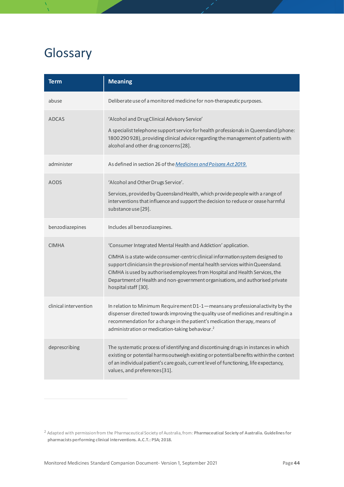# <span id="page-43-0"></span>Glossary

| <b>Term</b>           | <b>Meaning</b>                                                                                                                                                                                                                                                                                                                                                                                                                |
|-----------------------|-------------------------------------------------------------------------------------------------------------------------------------------------------------------------------------------------------------------------------------------------------------------------------------------------------------------------------------------------------------------------------------------------------------------------------|
| abuse                 | Deliberate use of a monitored medicine for non-therapeutic purposes.                                                                                                                                                                                                                                                                                                                                                          |
| <b>ADCAS</b>          | 'Alcohol and Drug Clinical Advisory Service'<br>A specialist telephone support service for health professionals in Queensland (phone:<br>1800 290 928), providing clinical advice regarding the management of patients with<br>alcohol and other drug concerns [28].                                                                                                                                                          |
| administer            | As defined in section 26 of the Medicines and Poisons Act 2019.                                                                                                                                                                                                                                                                                                                                                               |
| <b>AODS</b>           | 'Alcohol and Other Drugs Service'.<br>Services, provided by Queensland Health, which provide people with a range of<br>interventions that influence and support the decision to reduce or cease harmful<br>substance use [29].                                                                                                                                                                                                |
| benzodiazepines       | Includes all benzodiazepines.                                                                                                                                                                                                                                                                                                                                                                                                 |
| <b>CIMHA</b>          | 'Consumer Integrated Mental Health and Addiction' application.<br>CIMHA is a state-wide consumer-centric clinical information system designed to<br>support clinicians in the provision of mental health services within Queensland.<br>CIMHA is used by authorised employees from Hospital and Health Services, the<br>Department of Health and non-government organisations, and authorised private<br>hospital staff [30]. |
| clinical intervention | In relation to Minimum Requirement D1-1-means any professional activity by the<br>dispenser directed towards improving the quality use of medicines and resulting in a<br>recommendation for a change in the patient's medication therapy, means of<br>administration or medication-taking behaviour. <sup>2</sup>                                                                                                            |
| deprescribing         | The systematic process of identifying and discontinuing drugs in instances in which<br>existing or potential harms outweigh existing or potential benefits within the context<br>of an individual patient's care goals, current level of functioning, life expectancy,<br>values, and preferences [31].                                                                                                                       |

<span id="page-43-1"></span><sup>2</sup> Adapted with permission from the Pharmaceutical Society of Australia, from: **Pharmaceutical Society of Australia. Guidelines for pharmacists performing clinical interventions. A.C.T.: PSA; 2018.**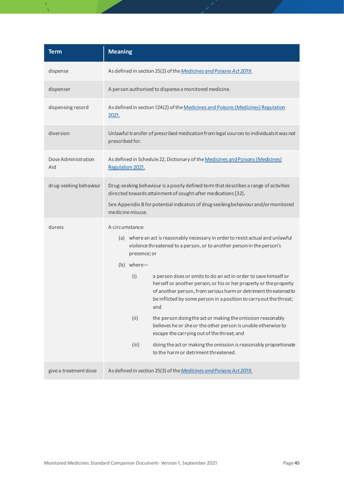| <b>Term</b>                | <b>Meaning</b>                                                                                                                                                                                                                                                                              |
|----------------------------|---------------------------------------------------------------------------------------------------------------------------------------------------------------------------------------------------------------------------------------------------------------------------------------------|
| dispense                   | As defined in section 25(2) of the Medicines and Poisons Act 2019.                                                                                                                                                                                                                          |
| dispenser                  | A person authorised to dispense a monitored medicine.                                                                                                                                                                                                                                       |
| dispensing record          | As defined in section 124(2) of the Medicines and Poisons (Medicines) Regulation<br>2021.                                                                                                                                                                                                   |
| diversion                  | Unlawful transfer of prescribed medication from legal sources to individuals it was not<br>prescribed for.                                                                                                                                                                                  |
| Dose Administration<br>Aid | As defined in Schedule 22, Dictionary of the Medicines and Poisons (Medicines)<br>Regulation 2021.                                                                                                                                                                                          |
| drug-seeking behaviour     | Drug-seeking behaviour is a poorly defined term that describes a range of activities<br>directed towards attainment of sought-after medications [32].<br>See Appendix B for potential indicators of drug-seeking behaviour and/or monitored                                                 |
|                            | medicine misuse.                                                                                                                                                                                                                                                                            |
| duress                     | A circumstance:<br>(a) where an act is reasonably necessary in order to resist actual and unlawful<br>violence threatened to a person, or to another person in the person's<br>presence; or<br>(b) where-                                                                                   |
|                            | (i)<br>a person does or omits to do an act in order to save himself or<br>herself or another person, or his or her property or the property<br>of another person, from serious harm or detriment threatened to<br>be inflicted by some person in a position to carry out the threat;<br>and |
|                            | (ii)<br>the person doing the act or making the omission reasonably<br>believes he or she or the other person is unable otherwise to<br>escape the carrying out of the threat; and                                                                                                           |
|                            | (iii)<br>doing the act or making the omission is reasonably proportionate<br>to the harm or detriment threatened.                                                                                                                                                                           |
| give a treatment dose      | As defined in section 25(3) of the Medicines and Poisons Act 2019.                                                                                                                                                                                                                          |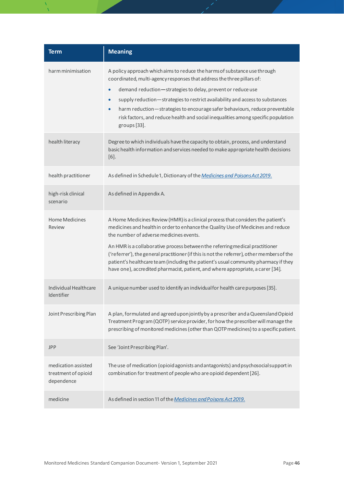| <b>Term</b>                                              | <b>Meaning</b>                                                                                                                                                                                                                                                                                                                                                                                                                                                                                                                                                          |
|----------------------------------------------------------|-------------------------------------------------------------------------------------------------------------------------------------------------------------------------------------------------------------------------------------------------------------------------------------------------------------------------------------------------------------------------------------------------------------------------------------------------------------------------------------------------------------------------------------------------------------------------|
| harm minimisation                                        | A policy approach which aims to reduce the harms of substance use through<br>coordinated, multi-agency responses that address the three pillars of:<br>demand reduction-strategies to delay, prevent or reduce use<br>$\bullet$<br>supply reduction-strategies to restrict availability and access to substances<br>$\bullet$<br>harm reduction-strategies to encourage safer behaviours, reduce preventable<br>$\bullet$<br>risk factors, and reduce health and social inequalities among specific population                                                          |
| health literacy                                          | groups [33].<br>Degree to which individuals have the capacity to obtain, process, and understand<br>basic health information and services needed to make appropriate health decisions<br>$[6]$ .                                                                                                                                                                                                                                                                                                                                                                        |
| health practitioner                                      | As defined in Schedule 1, Dictionary of the Medicines and Poisons Act 2019.                                                                                                                                                                                                                                                                                                                                                                                                                                                                                             |
| high-risk clinical<br>scenario                           | As defined in Appendix A.                                                                                                                                                                                                                                                                                                                                                                                                                                                                                                                                               |
| <b>Home Medicines</b><br>Review                          | A Home Medicines Review (HMR) is a clinical process that considers the patient's<br>medicines and health in order to enhance the Quality Use of Medicines and reduce<br>the number of adverse medicines events.<br>An HMR is a collaborative process between the referring medical practitioner<br>('referrer'), the general practitioner (if this is not the referrer), other members of the<br>patient's healthcare team (including the patient's usual community pharmacy if they<br>have one), accredited pharmacist, patient, and where appropriate, a carer [34]. |
| Individual Healthcare<br>Identifier                      | A unique number used to identify an individual for health care purposes [35].                                                                                                                                                                                                                                                                                                                                                                                                                                                                                           |
| Joint Prescribing Plan                                   | A plan, formulated and agreed upon jointly by a prescriber and a Queensland Opioid<br>Treatment Program (QOTP) service provider, for how the prescriber will manage the<br>prescribing of monitored medicines (other than QOTP medicines) to a specific patient.                                                                                                                                                                                                                                                                                                        |
| <b>JPP</b>                                               | See 'Joint Prescribing Plan'.                                                                                                                                                                                                                                                                                                                                                                                                                                                                                                                                           |
| medication assisted<br>treatment of opioid<br>dependence | The use of medication (opioid agonists and antagonists) and psychosocial support in<br>combination for treatment of people who are opioid dependent [26].                                                                                                                                                                                                                                                                                                                                                                                                               |
| medicine                                                 | As defined in section 11 of the Medicines and Poisons Act 2019.                                                                                                                                                                                                                                                                                                                                                                                                                                                                                                         |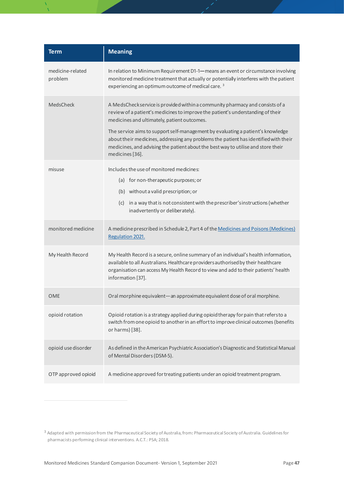| <b>Term</b>                 | <b>Meaning</b>                                                                                                                                                                                                                                                                                                                                                                                                                                                                                     |
|-----------------------------|----------------------------------------------------------------------------------------------------------------------------------------------------------------------------------------------------------------------------------------------------------------------------------------------------------------------------------------------------------------------------------------------------------------------------------------------------------------------------------------------------|
| medicine-related<br>problem | In relation to Minimum Requirement D1-1—means an event or circumstance involving<br>monitored medicine treatment that actually or potentially interferes with the patient<br>experiencing an optimum outcome of medical care. <sup>3</sup>                                                                                                                                                                                                                                                         |
| <b>MedsCheck</b>            | A MedsCheck service is provided within a community pharmacy and consists of a<br>review of a patient's medicines to improve the patient's understanding of their<br>medicines and ultimately, patient outcomes.<br>The service aims to support self-management by evaluating a patient's knowledge<br>about their medicines, addressing any problems the patient has identified with their<br>medicines, and advising the patient about the best way to utilise and store their<br>medicines [36]. |
| misuse                      | Includes the use of monitored medicines:<br>(a) for non-therapeutic purposes; or<br>(b) without a valid prescription; or<br>(c) in a way that is not consistent with the prescriber's instructions (whether<br>inadvertently or deliberately).                                                                                                                                                                                                                                                     |
| monitored medicine          | A medicine prescribed in Schedule 2, Part 4 of the Medicines and Poisons (Medicines)<br>Regulation 2021.                                                                                                                                                                                                                                                                                                                                                                                           |
| My Health Record            | My Health Record is a secure, online summary of an individual's health information,<br>available to all Australians. Healthcare providers authorised by their healthcare<br>organisation can access My Health Record to view and add to their patients' health<br>information [37].                                                                                                                                                                                                                |
| <b>OME</b>                  | Oral morphine equivalent-an approximate equivalent dose of oral morphine.                                                                                                                                                                                                                                                                                                                                                                                                                          |
| opioid rotation             | Opioid rotation is a strategy applied during opioid therapy for pain that refersto a<br>switch from one opioid to another in an effort to improve clinical outcomes (benefits<br>or harms) [38].                                                                                                                                                                                                                                                                                                   |
| opioid use disorder         | As defined in the American Psychiatric Association's Diagnostic and Statistical Manual<br>of Mental Disorders (DSM-5).                                                                                                                                                                                                                                                                                                                                                                             |
| OTP approved opioid         | A medicine approved for treating patients under an opioid treatment program.                                                                                                                                                                                                                                                                                                                                                                                                                       |

<span id="page-46-0"></span><sup>3</sup> Adapted with permission from the Pharmaceutical Society of Australia, from**:** Pharmaceutical Society of Australia. Guidelines for pharmacists performing clinical interventions. A.C.T.: PSA; 2018.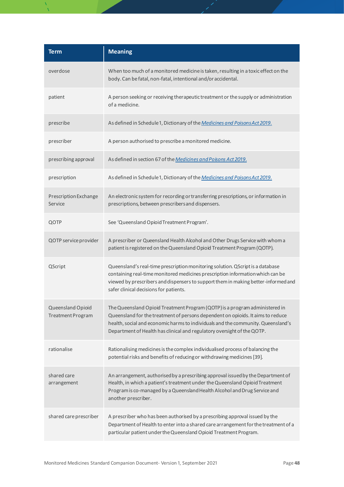| <b>Term</b>                            | <b>Meaning</b>                                                                                                                                                                                                                                                                                                                |
|----------------------------------------|-------------------------------------------------------------------------------------------------------------------------------------------------------------------------------------------------------------------------------------------------------------------------------------------------------------------------------|
| overdose                               | When too much of a monitored medicine is taken, resulting in a toxic effect on the<br>body. Can be fatal, non-fatal, intentional and/or accidental.                                                                                                                                                                           |
| patient                                | A person seeking or receiving therapeutic treatment or the supply or administration<br>of a medicine.                                                                                                                                                                                                                         |
| prescribe                              | As defined in Schedule 1, Dictionary of the Medicines and Poisons Act 2019.                                                                                                                                                                                                                                                   |
| prescriber                             | A person authorised to prescribe a monitored medicine.                                                                                                                                                                                                                                                                        |
| prescribing approval                   | As defined in section 67 of the Medicines and Poisons Act 2019.                                                                                                                                                                                                                                                               |
| prescription                           | As defined in Schedule 1, Dictionary of the Medicines and Poisons Act 2019.                                                                                                                                                                                                                                                   |
| Prescription Exchange<br>Service       | An electronic system for recording or transferring prescriptions, or information in<br>prescriptions, between prescribers and dispensers.                                                                                                                                                                                     |
| QOTP                                   | See 'Queensland Opioid Treatment Program'.                                                                                                                                                                                                                                                                                    |
| QOTP service provider                  | A prescriber or Queensland Health Alcohol and Other Drugs Service with whom a<br>patient is registered on the Queensland Opioid Treatment Program (QOTP).                                                                                                                                                                     |
| QScript                                | Queensland's real-time prescription monitoring solution. QScript is a database<br>containing real-time monitored medicines prescription information which can be<br>viewed by prescribers and dispensers to support them in making better-informed and<br>safer clinical decisions for patients.                              |
| Queensland Opioid<br>Treatment Program | The Queensland Opioid Treatment Program (QOTP) is a program administered in<br>Queensland for the treatment of persons dependent on opioids. It aims to reduce<br>health, social and economic harms to individuals and the community. Queensland's<br>Department of Health has clinical and regulatory oversight of the QOTP. |
| rationalise                            | Rationalising medicines is the complex individualised process of balancing the<br>potential risks and benefits of reducing or withdrawing medicines [39].                                                                                                                                                                     |
| shared care<br>arrangement             | An arrangement, authorised by a prescribing approval issued by the Department of<br>Health, in which a patient's treatment under the Queensland Opioid Treatment<br>Program is co-managed by a Queensland Health Alcohol and Drug Service and<br>another prescriber.                                                          |
| shared care prescriber                 | A prescriber who has been authorised by a prescribing approval issued by the<br>Department of Health to enter into a shared care arrangement for the treatment of a<br>particular patient under the Queensland Opioid Treatment Program.                                                                                      |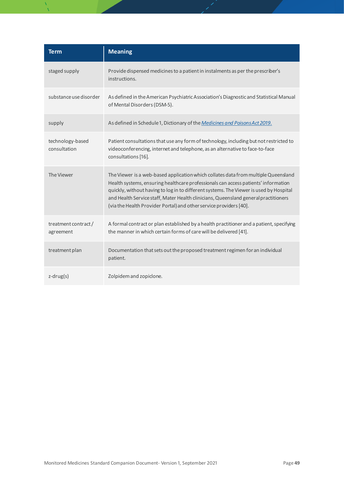| <b>Term</b>                      | <b>Meaning</b>                                                                                                                                                                                                                                                                                                                                                                                                                  |
|----------------------------------|---------------------------------------------------------------------------------------------------------------------------------------------------------------------------------------------------------------------------------------------------------------------------------------------------------------------------------------------------------------------------------------------------------------------------------|
| staged supply                    | Provide dispensed medicines to a patient in instalments as per the prescriber's<br>instructions.                                                                                                                                                                                                                                                                                                                                |
| substance use disorder           | As defined in the American Psychiatric Association's Diagnostic and Statistical Manual<br>of Mental Disorders (DSM-5).                                                                                                                                                                                                                                                                                                          |
| supply                           | As defined in Schedule 1, Dictionary of the Medicines and Poisons Act 2019.                                                                                                                                                                                                                                                                                                                                                     |
| technology-based<br>consultation | Patient consultations that use any form of technology, including but not restricted to<br>videoconferencing, internet and telephone, as an alternative to face-to-face<br>consultations [16].                                                                                                                                                                                                                                   |
| The Viewer                       | The Viewer is a web-based application which collates data from multiple Queensland<br>Health systems, ensuring healthcare professionals can access patients' information<br>quickly, without having to log in to different systems. The Viewer is used by Hospital<br>and Health Service staff, Mater Health clinicians, Queensland general practitioners<br>(via the Health Provider Portal) and other service providers [40]. |
| treatment contract/<br>agreement | A formal contract or plan established by a health practitioner and a patient, specifying<br>the manner in which certain forms of care will be delivered [41].                                                                                                                                                                                                                                                                   |
| treatment plan                   | Documentation that sets out the proposed treatment regimen for an individual<br>patient.                                                                                                                                                                                                                                                                                                                                        |
| $z$ -drug $(s)$                  | Zolpidem and zopiclone.                                                                                                                                                                                                                                                                                                                                                                                                         |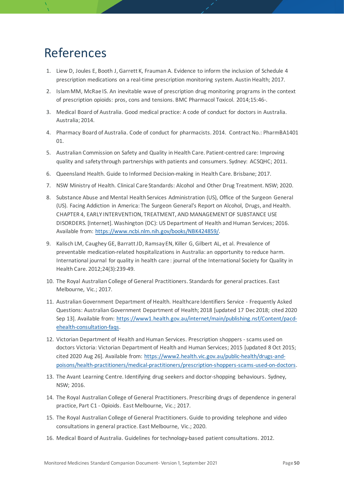# <span id="page-49-0"></span>References

- 1. Liew D, Joules E, Booth J, Garrett K, Frauman A. Evidence to inform the inclusion of Schedule 4 prescription medications on a real-time prescription monitoring system. Austin Health; 2017.
- 2. Islam MM, McRae IS. An inevitable wave of prescription drug monitoring programs in the context of prescription opioids: pros, cons and tensions. BMC Pharmacol Toxicol. 2014;15:46-.
- 3. Medical Board of Australia. Good medical practice: A code of conduct for doctors in Australia. Australia; 2014.
- 4. Pharmacy Board of Australia. Code of conduct for pharmacists. 2014. Contract No.: PharmBA1401 01.
- 5. Australian Commission on Safety and Quality in Health Care. Patient-centred care: Improving quality and safety through partnerships with patients and consumers. Sydney: ACSQHC; 2011.
- 6. Queensland Health. Guide to Informed Decision-making in Health Care. Brisbane; 2017.
- 7. NSW Ministry of Health. Clinical Care Standards: Alcohol and Other Drug Treatment. NSW; 2020.
- 8. Substance Abuse and Mental Health Services Administration (US), Office of the Surgeon General (US). Facing Addiction in America: The Surgeon General's Report on Alcohol, Drugs, and Health. CHAPTER 4, EARLY INTERVENTION, TREATMENT, AND MANAGEMENT OF SUBSTANCE USE DISORDERS. [Internet]. Washington (DC): US Department of Health and Human Services; 2016. Available from: <https://www.ncbi.nlm.nih.gov/books/NBK424859/>.
- 9. Kalisch LM, Caughey GE, Barratt JD, Ramsay EN, Killer G, Gilbert AL, et al. Prevalence of preventable medication-related hospitalizations in Australia: an opportunity to reduce harm. International journal for quality in health care : journal of the International Society for Quality in Health Care. 2012;24(3):239-49.
- 10. The Royal Australian College of General Practitioners. Standards for general practices. East Melbourne, Vic.; 2017.
- 11. Australian Government Department of Health. Healthcare Identifiers Service Frequently Asked Questions: Australian Government Department of Health; 2018 [updated 17 Dec 2018; cited 2020 Sep 13]. Available from: [https://www1.health.gov.au/internet/main/publishing.nsf/Content/pacd](https://www1.health.gov.au/internet/main/publishing.nsf/Content/pacd-ehealth-consultation-faqs)[ehealth-consultation-faqs.](https://www1.health.gov.au/internet/main/publishing.nsf/Content/pacd-ehealth-consultation-faqs)
- 12. Victorian Department of Health and Human Services. Prescription shoppers scams used on doctors Victoria: Victorian Department of Health and Human Services; 2015 [updated 8 Oct 2015; cited 2020 Aug 26]. Available from: [https://www2.health.vic.gov.au/public](https://www2.health.vic.gov.au/public-health/drugs-and-poisons/health-practitioners/medical-practitioners/prescription-shoppers-scams-used-on-doctors)-health/drugs-andpoisons/health-practitioners/medical-practitioners/prescription[-shoppers-scams-used-on-doctors.](https://www2.health.vic.gov.au/public-health/drugs-and-poisons/health-practitioners/medical-practitioners/prescription-shoppers-scams-used-on-doctors)
- 13. The Avant Learning Centre. Identifying drug seekers and doctor-shopping behaviours. Sydney, NSW; 2016.
- 14. The Royal Australian College of General Practitioners. Prescribing drugs of dependence in general practice, Part C1 - Opioids. East Melbourne, Vic.; 2017.
- 15. The Royal Australian College of General Practitioners. Guide to providing telephone and video consultations in general practice. East Melbourne, Vic.; 2020.
- <span id="page-49-1"></span>16. Medical Board of Australia. Guidelines for technology-based patient consultations. 2012.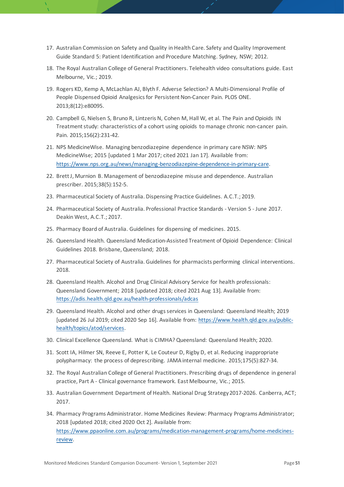- 17. Australian Commission on Safety and Quality in Health Care. Safety and Quality Improvement Guide Standard 5: Patient Identification and Procedure Matching. Sydney, NSW; 2012.
- 18. The Royal Australian College of General Practitioners. Telehealth video consultations guide. East Melbourne, Vic.; 2019.
- <span id="page-50-0"></span>19. Rogers KD, Kemp A, McLachlan AJ, Blyth F. Adverse Selection? A Multi-Dimensional Profile of People Dispensed Opioid Analgesics for Persistent Non-Cancer Pain. PLOS ONE. 2013;8(12):e80095.
- <span id="page-50-14"></span>20. Campbell G, Nielsen S, Bruno R, Lintzeris N, Cohen M, Hall W, et al. The Pain and Opioids IN Treatment study: characteristics of a cohort using opioids to manage chronic non-cancer pain. Pain. 2015;156(2):231-42.
- <span id="page-50-15"></span>21. NPS MedicineWise. Managing benzodiazepine dependence in primary care NSW: NPS MedicineWise; 2015 [updated 1 Mar 2017; cited 2021 Jan 17]. Available from: [https://www.nps.org.au/news/managing](https://www.nps.org.au/news/managing-benzodiazepine-dependence-in-primary-care)-benzodiazepine-dependence-in-primary-care.
- <span id="page-50-1"></span>22. Brett J, Murnion B. Management of benzodiazepine misuse and dependence. Australian prescriber. 2015;38(5):152-5.
- <span id="page-50-2"></span>23. Pharmaceutical Society of Australia. Dispensing Practice Guidelines. A.C.T.; 2019.
- <span id="page-50-3"></span>24. Pharmaceutical Society of Australia. Professional Practice Standards - Version 5 - June 2017. Deakin West, A.C.T.; 2017.
- <span id="page-50-4"></span>25. Pharmacy Board of Australia. Guidelines for dispensing of medicines. 2015.
- <span id="page-50-5"></span>26. Queensland Health. Queensland Medication-Assisted Treatment of Opioid Dependence: Clinical Guidelines 2018. Brisbane, Queensland; 2018.
- <span id="page-50-6"></span>27. Pharmaceutical Society of Australia. Guidelines for pharmacists performing clinical interventions. 2018.
- <span id="page-50-7"></span>28. Queensland Health. Alcohol and Drug Clinical Advisory Service for health professionals: Queensland Government; 2018 [updated 2018; cited 2021 Aug 13]. Available from: [https://adis.health.qld.gov.au/health](https://adis.health.qld.gov.au/health-professionals/adcas)-professionals/adcas
- <span id="page-50-8"></span>29. Queensland Health. Alcohol and other drugs services in Queensland: Queensland Health; 2019 [updated 26 Jul 2019; cited 2020 Sep 16]. Available from: [https://www.health.qld.gov.au/public](https://www.health.qld.gov.au/public-health/topics/atod/services)[health/topics/atod/services](https://www.health.qld.gov.au/public-health/topics/atod/services).
- <span id="page-50-9"></span>30. Clinical Excellence Queensland. What is CIMHA? Queensland: Queensland Health; 2020.
- <span id="page-50-10"></span>31. Scott IA, Hilmer SN, Reeve E, Potter K, Le Couteur D, Rigby D, et al. Reducing inappropriate polypharmacy: the process of deprescribing. JAMA internal medicine. 2015;175(5):827-34.
- <span id="page-50-11"></span>32. The Royal Australian College of General Practitioners. Prescribing drugs of dependence in general practice, Part A - Clinical governance framework. East Melbourne, Vic.; 2015.
- <span id="page-50-12"></span>33. Australian Government Department of Health. National Drug Strategy 2017-2026. Canberra, ACT; 2017.
- <span id="page-50-13"></span>34. Pharmacy Programs Administrator. Home Medicines Review: Pharmacy Programs Administrator; 2018 [updated 2018; cited 2020 Oct 2]. Available from: [https://www.ppaonline.com.au/programs/medication](https://www.ppaonline.com.au/programs/medication-management-programs/home-medicines-review)-management-programs/home-medicines[review.](https://www.ppaonline.com.au/programs/medication-management-programs/home-medicines-review)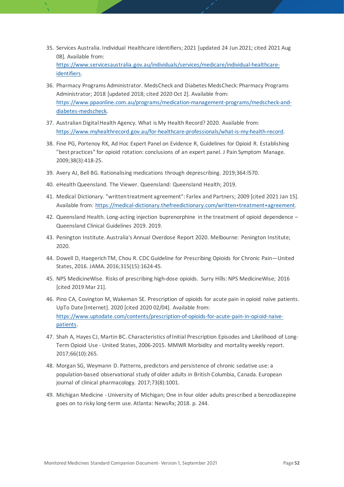- <span id="page-51-0"></span>35. Services Australia. Individual Healthcare Identifiers; 2021 [updated 24 Jun 2021; cited 2021 Aug 08]. Available from: [https://www.servicesaustralia.gov.au/individuals/services/medicare/individual](https://www.servicesaustralia.gov.au/individuals/services/medicare/individual-healthcare-identifiers)-healthcare[identifiers.](https://www.servicesaustralia.gov.au/individuals/services/medicare/individual-healthcare-identifiers)
- <span id="page-51-1"></span>36. Pharmacy Programs Administrator. MedsCheck and Diabetes MedsCheck: Pharmacy Programs Administrator; 2018 [updated 2018; cited 2020 Oct 2]. Available from: [https://www.ppaonline.com.au/programs/medication](https://www.ppaonline.com.au/programs/medication-management-programs/medscheck-and-diabetes-medscheck)-management-programs/medscheck-anddiabetes[-medscheck.](https://www.ppaonline.com.au/programs/medication-management-programs/medscheck-and-diabetes-medscheck)
- <span id="page-51-2"></span>37. Australian Digital Health Agency. What is My Health Record? 2020. Available from: [https://www.myhealthrecord.gov.au/for](https://www.myhealthrecord.gov.au/for-healthcare-professionals/what-is-my-health-record)-healthcare-professionals/what-is-my-health-record.
- <span id="page-51-3"></span>38. Fine PG, Portenoy RK, Ad Hoc Expert Panel on Evidence R, Guidelines for Opioid R. Establishing "best practices" for opioid rotation: conclusions of an expert panel. J Pain Symptom Manage. 2009;38(3):418-25.
- <span id="page-51-4"></span>39. Avery AJ, Bell BG. Rationalising medications through deprescribing. 2019;364:l570.
- <span id="page-51-5"></span>40. eHealth Queensland. The Viewer. Queensland: Queensland Health; 2019.
- <span id="page-51-6"></span>41. Medical Dictionary. "written treatment agreement": Farlex and Partners; 2009 [cited 2021 Jan 15]. Available from: https://medical-[dictionary.thefreedictionary.com/written+treatm](https://medical-dictionary.thefreedictionary.com/written+treatment+agreement)ent+agreement.
- <span id="page-51-7"></span>42. Queensland Health. Long-acting injection buprenorphine in the treatment of opioid dependence – Queensland Clinical Guidelines 2019. 2019.
- <span id="page-51-8"></span>43. Penington Institute. Australia's Annual Overdose Report 2020. Melbourne: Penington Institute; 2020.
- <span id="page-51-9"></span>44. Dowell D, Haegerich TM, Chou R. CDC Guideline for Prescribing Opioids for Chronic Pain—United States, 2016. JAMA. 2016;315(15):1624-45.
- <span id="page-51-10"></span>45. NPS MedicineWise. Risks of prescribing high-dose opioids. Surry Hills: NPS MedicineWise; 2016 [cited 2019 Mar 21].
- <span id="page-51-11"></span>46. Pino CA, Covington M, Wakeman SE. Prescription of opioids for acute pain in opioid naïve patients. UpTo Date [Internet]. 2020 [cited 2020 02/04]. Available from: [https://www.uptodate.com/contents/prescription](https://www.uptodate.com/contents/prescription-of-opioids-for-acute-pain-in-opioid-naive-patients)-of-opioids-for-acute-pain-in-opioid-naive[patients.](https://www.uptodate.com/contents/prescription-of-opioids-for-acute-pain-in-opioid-naive-patients)
- <span id="page-51-12"></span>47. Shah A, Hayes CJ, Martin BC. Characteristics of Initial Prescription Episodes and Likelihood of Long-Term Opioid Use - United States, 2006-2015. MMWR Morbidity and mortality weekly report. 2017;66(10):265.
- <span id="page-51-13"></span>48. Morgan SG, Weymann D. Patterns, predictors and persistence of chronic sedative use: a population-based observational study of older adults in British Columbia, Canada. European journal of clinical pharmacology. 2017;73(8):1001.
- <span id="page-51-14"></span>49. Michigan Medicine - University of Michigan; One in four older adults prescribed a benzodiazepine goes on to risky long-term use. Atlanta: NewsRx; 2018. p. 244.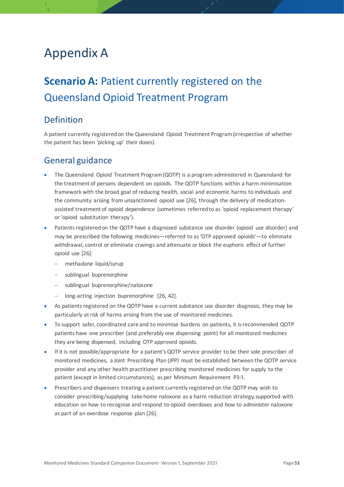# <span id="page-52-0"></span>Appendix A

# <span id="page-52-1"></span>**Scenario A:** Patient currently registered on the Queensland Opioid Treatment Program

## <span id="page-52-2"></span>Definition

<span id="page-52-3"></span>A patient currently registered on the Queensland Opioid Treatment Program (irrespective of whether the patient has been 'picking up' their doses).

- The Queensland Opioid Treatment Program (QOTP) is a program administered in Queensland for the treatment of persons dependent on opioids. The QOTP functions within a harm minimisation framework with the broad goal of reducing health, social and economic harms to individuals and the community arising from unsanctioned opioid use [[26](#page-50-5)], through the delivery of medicationassisted treatment of opioid dependence (sometimes referred to as 'opioid replacement therapy' or 'opioid substitution therapy').
- Patients registered on the QOTP have a diagnosed substance use disorder (opioid use disorder) and may be prescribed the following medicines—referred to as 'OTP approved opioids'—to eliminate withdrawal, control or eliminate cravings and attenuate or block the euphoric effect of further opioid use [[26](#page-50-5)]:
	- − methadone liquid/syrup
	- − sublingual buprenorphine
	- sublingual buprenorphine/naloxone
	- − long-acting injection buprenorphine [[26,](#page-50-5) [42](#page-51-7)].
- As patients registered on the QOTP have a current substance use disorder diagnosis, they may be particularly at risk of harms arising from the use of monitored medicines.
- To support safer, coordinated care and to minimise burdens on patients, it is recommended QOTP patients have one prescriber (and preferably one dispensing point) for all monitored medicines they are being dispensed, including OTP approved opioids.
- If it is not possible/appropriate for a patient's QOTP service provider to be their sole prescriber of monitored medicines, a Joint Prescribing Plan (JPP) must be established between the QOTP service provider and any other health practitioner prescribing monitored medicines for supply to the patient (except in limited circumstances), as per Minimum Requirement P3-1.
- Prescribers and dispensers treating a patient currently registered on the QOTP may wish to consider prescribing/supplying take home naloxone as a harm reduction strategy, supported with education on how to recognise and respond to opioid overdoses and how to administer naloxone as part of an overdose response plan [[26](#page-50-5)].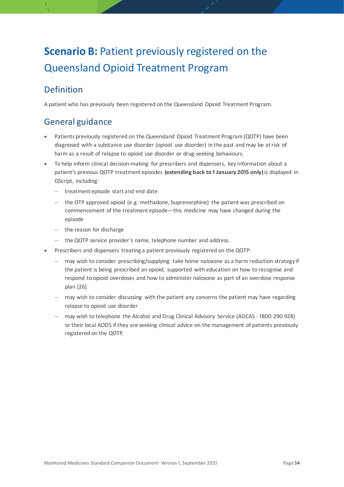# <span id="page-53-0"></span>**Scenario B: Patient previously registered on the** Queensland Opioid Treatment Program

# <span id="page-53-1"></span>Definition

<span id="page-53-2"></span>A patient who has previously been registered on the Queensland Opioid Treatment Program.

- Patients previously registered on the Queensland Opioid Treatment Program (QOTP) have been diagnosed with a substance use disorder (opioid use disorder) in the past and may be at risk of harm as a result of relapse to opioid use disorder or drug-seeking behaviours.
- To help inform clinical decision-making for prescribers and dispensers, key Information about a patient's previous QOTP treatment episodes **(extending back to 1 January 2015 only)** is displayed in QScript, including:
	- − treatment episode start and end date
	- the OTP approved opioid (e.g. methadone, buprenorphine) the patient was prescribed on commencement of the treatment episode—this medicine may have changed during the episode
	- − the reason for discharge
	- − the QOTP service provider's name, telephone number and address.
- Prescribers and dispensers treating a patient previously registered on the QOTP:
	- may wish to consider prescribing/supplying take home naloxone as a harm reduction strategy if the patient is being prescribed an opioid, supported with education on how to recognise and respond to opioid overdoses and how to administer naloxone as part of an overdose response plan [[26](#page-50-5)]
	- may wish to consider discussing with the patient any concerns the patient may have regarding relapse to opioid use disorder
	- − may wish to telephone the Alcohol and Drug Clinical Advisory Service (ADCAS 1800 290 928) or their local AODS if they are seeking clinical advice on the management of patients previously registered on the QOTP.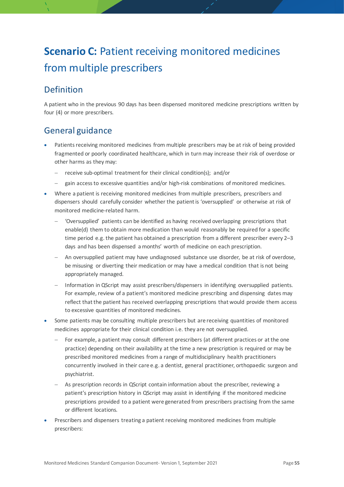# <span id="page-54-0"></span>**Scenario C:** Patient receiving monitored medicines from multiple prescribers

# <span id="page-54-1"></span>Definition

<span id="page-54-2"></span>A patient who in the previous 90 days has been dispensed monitored medicine prescriptions written by four (4) or more prescribers.

- Patients receiving monitored medicines from multiple prescribers may be at risk of being provided fragmented or poorly coordinated healthcare, which in turn may increase their risk of overdose or other harms as they may:
	- − receive sub-optimal treatment for their clinical condition(s); and/or
	- − gain access to excessive quantities and/or high-risk combinations of monitored medicines.
- Where a patient is receiving monitored medicines from multiple prescribers, prescribers and dispensers should carefully consider whether the patient is 'oversupplied' or otherwise at risk of monitored medicine-related harm.
	- − 'Oversupplied' patients can be identified as having received overlapping prescriptions that enable(d) them to obtain more medication than would reasonably be required for a specific time period e.g. the patient has obtained a prescription from a different prescriber every 2–3 days and has been dispensed a months' worth of medicine on each prescription.
	- An oversupplied patient may have undiagnosed substance use disorder, be at risk of overdose, be misusing or diverting their medication or may have a medical condition that is not being appropriately managed.
	- − Information in QScript may assist prescribers/dispensers in identifying oversupplied patients. For example, review of a patient's monitored medicine prescribing and dispensing dates may reflect that the patient has received overlapping prescriptions that would provide them access to excessive quantities of monitored medicines.
- Some patients may be consulting multiple prescribers but are receiving quantities of monitored medicines appropriate for their clinical condition i.e. they are not oversupplied.
	- For example, a patient may consult different prescribers (at different practices or at the one practice) depending on their availability at the time a new prescription is required or may be prescribed monitored medicines from a range of multidisciplinary health practitioners concurrently involved in their care e.g. a dentist, general practitioner, orthopaedic surgeon and psychiatrist.
	- As prescription records in QScript contain information about the prescriber, reviewing a patient's prescription history in QScript may assist in identifying if the monitored medicine prescriptions provided to a patient were generated from prescribers practising from the same or different locations.
- Prescribers and dispensers treating a patient receiving monitored medicines from multiple prescribers: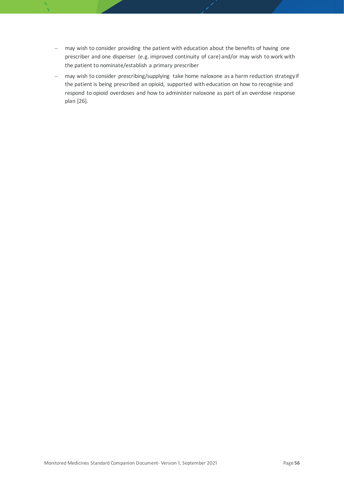- − may wish to consider providing the patient with education about the benefits of having one prescriber and one dispenser (e.g. improved continuity of care) and/or may wish to work with the patient to nominate/establish a primary prescriber
- − may wish to consider prescribing/supplying take home naloxone as a harm reduction strategy if the patient is being prescribed an opioid, supported with education on how to recognise and respond to opioid overdoses and how to administer naloxone as part of an overdose response plan [[26](#page-50-5)].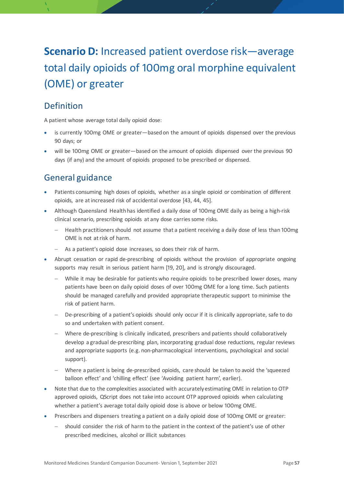# <span id="page-56-0"></span>**Scenario D:** Increased patient overdose risk—average total daily opioids of 100mg oral morphine equivalent (OME) or greater

# <span id="page-56-1"></span>Definition

A patient whose average total daily opioid dose:

- is currently 100mg OME or greater—based on the amount of opioids dispensed over the previous 90 days; or
- <span id="page-56-2"></span>• will be 100mg OME or greater—based on the amount of opioids dispensed over the previous 90 days (if any) and the amount of opioids proposed to be prescribed or dispensed.

- Patients consuming high doses of opioids, whether as a single opioid or combination of different opioids, are at increased risk of accidental overdose [[43,](#page-51-8) [44,](#page-51-9) [45](#page-51-10)].
- Although Queensland Health has identified a daily dose of 100mg OME daily as being a high-risk clinical scenario, prescribing opioids at any dose carries some risks.
	- − Health practitioners should not assume that a patient receiving a daily dose of less than 100mg OME is not at risk of harm.
	- − As a patient's opioid dose increases, so does their risk of harm.
- Abrupt cessation or rapid de-prescribing of opioids without the provision of appropriate ongoing supports may result in serious patient harm [[19,](#page-50-0) [20](#page-50-14)], and is strongly discouraged.
	- While it may be desirable for patients who require opioids to be prescribed lower doses, many patients have been on daily opioid doses of over 100mg OME for a long time. Such patients should be managed carefully and provided appropriate therapeutic support to minimise the risk of patient harm.
	- − De-prescribing of a patient's opioids should only occur if it is clinically appropriate, safe to do so and undertaken with patient consent.
	- − Where de-prescribing is clinically indicated, prescribers and patients should collaboratively develop a gradual de-prescribing plan, incorporating gradual dose reductions, regular reviews and appropriate supports (e.g. non-pharmacological interventions, psychological and social support).
	- Where a patient is being de-prescribed opioids, care should be taken to avoid the 'squeezed balloon effect' and 'chilling effect' (see 'Avoiding patient harm', earlier).
- Note that due to the complexities associated with accurately estimating OME in relation to OTP approved opioids, QScript does not take into account OTP approved opioids when calculating whether a patient's average total daily opioid dose is above or below 100mg OME.
- Prescribers and dispensers treating a patient on a daily opioid dose of 100mg OME or greater:
	- should consider the risk of harm to the patient in the context of the patient's use of other prescribed medicines, alcohol or illicit substances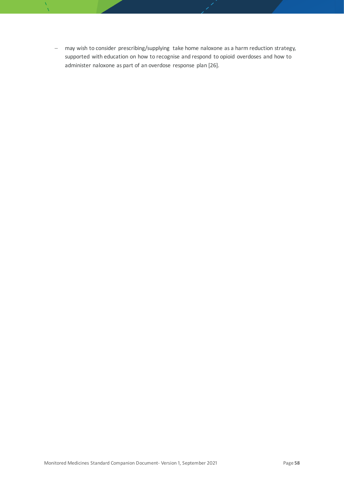− may wish to consider prescribing/supplying take home naloxone as a harm reduction strategy, supported with education on how to recognise and respond to opioid overdoses and how to administer naloxone as part of an overdose response plan [[26](#page-50-5)].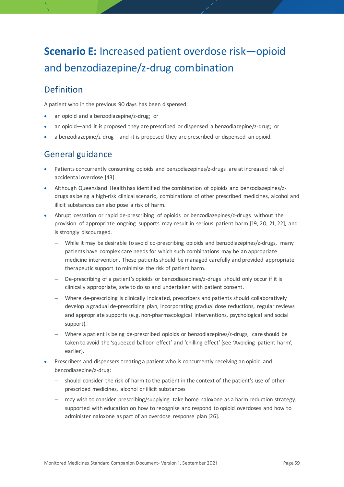# <span id="page-58-0"></span>**Scenario E:** Increased patient overdose risk—opioid and benzodiazepine/z-drug combination

# <span id="page-58-1"></span>Definition

A patient who in the previous 90 days has been dispensed:

- an opioid and a benzodiazepine/z-drug; or
- an opioid—and it is proposed they are prescribed or dispensed a benzodiazepine/z-drug; or
- <span id="page-58-2"></span>• a benzodiazepine/z-drug—and it is proposed they are prescribed or dispensed an opioid.

- Patients concurrently consuming opioids and benzodiazepines/z-drugs are at increased risk of accidental overdose [[43](#page-51-8)].
- Although Queensland Health has identified the combination of opioids and benzodiazepines/zdrugs as being a high-risk clinical scenario, combinations of other prescribed medicines, alcohol and illicit substances can also pose a risk of harm.
- Abrupt cessation or rapid de-prescribing of opioids or benzodiazepines/z-drugs without the provision of appropriate ongoing supports may result in serious patient harm [[19,](#page-50-0) [20,](#page-50-14) [21,](#page-50-15) [22](#page-50-1)], and is strongly discouraged.
	- − While it may be desirable to avoid co-prescribing opioids and benzodiazepines/z-drugs, many patients have complex care needs for which such combinations may be an appropriate medicine intervention. These patients should be managed carefully and provided appropriate therapeutic support to minimise the risk of patient harm.
	- De-prescribing of a patient's opioids or benzodiazepines/z-drugs should only occur if it is clinically appropriate, safe to do so and undertaken with patient consent.
	- − Where de-prescribing is clinically indicated, prescribers and patients should collaboratively develop a gradual de-prescribing plan, incorporating gradual dose reductions, regular reviews and appropriate supports (e.g. non-pharmacological interventions, psychological and social support).
	- Where a patient is being de-prescribed opioids or benzodiazepines/z-drugs, care should be taken to avoid the 'squeezed balloon effect' and 'chilling effect' (see 'Avoiding patient harm', earlier).
- Prescribers and dispensers treating a patient who is concurrently receiving an opioid and benzodiazepine/z-drug:
	- should consider the risk of harm to the patient in the context of the patient's use of other prescribed medicines, alcohol or illicit substances
	- may wish to consider prescribing/supplying take home naloxone as a harm reduction strategy, supported with education on how to recognise and respond to opioid overdoses and how to administer naloxone as part of an overdose response plan [[26](#page-50-5)].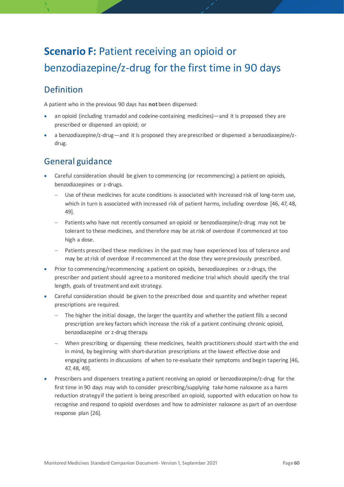# <span id="page-59-0"></span>**Scenario F: Patient receiving an opioid or** benzodiazepine/z-drug for the first time in 90 days

# <span id="page-59-1"></span>Definition

A patient who in the previous 90 days has **not** been dispensed:

- an opioid (including tramadol and codeine-containing medicines)—and it is proposed they are prescribed or dispensed an opioid; or
- <span id="page-59-2"></span>• a benzodiazepine/z-drug—and it is proposed they are prescribed or dispensed a benzodiazepine/zdrug.

- Careful consideration should be given to commencing (or recommencing) a patient on opioids, benzodiazepines or z-drugs.
	- Use of these medicines for acute conditions is associated with increased risk of long-term use, which in turn is associated with increased risk of patient harms, including overdose [[46,](#page-51-11) [47,](#page-51-12) [48,](#page-51-13) [49](#page-51-14)].
	- − Patients who have not recently consumed an opioid or benzodiazepine/z-drug may not be tolerant to these medicines, and therefore may be at risk of overdose if commenced at too high a dose.
	- − Patients prescribed these medicines in the past may have experienced loss of tolerance and may be at risk of overdose if recommenced at the dose they were previously prescribed.
- Prior to commencing/recommencing a patient on opioids, benzodiazepines or z-drugs, the prescriber and patient should agree to a monitored medicine trial which should specify the trial length, goals of treatment and exit strategy.
- Careful consideration should be given to the prescribed dose and quantity and whether repeat prescriptions are required.
	- The higher the initial dosage, the larger the quantity and whether the patient fills a second prescription are key factors which increase the risk of a patient continuing chronic opioid, benzodiazepine or z-drug therapy.
	- When prescribing or dispensing these medicines, health practitioners should start with the end in mind, by beginning with short-duration prescriptions at the lowest effective dose and engaging patients in discussions of when to re-evaluate their symptoms and begin tapering [46, 47, 48, [49](#page-51-14)].
- Prescribers and dispensers treating a patient receiving an opioid or benzodiazepine/z-drug for the first time in 90 days may wish to consider prescribing/supplying take home naloxone as a harm reduction strategy if the patient is being prescribed an opioid, supported with education on how to recognise and respond to opioid overdoses and how to administer naloxone as part of an overdose response plan [[26](#page-50-5)].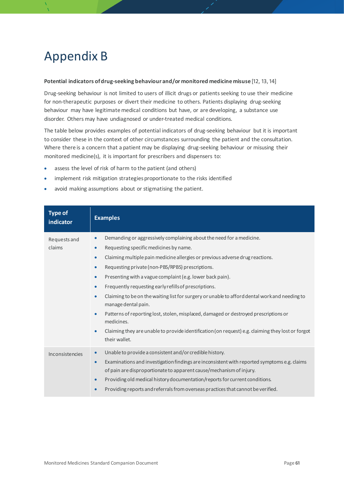# <span id="page-60-0"></span>Appendix B

#### **Potential indicators of drug-seeking behaviour and/or monitored medicine misuse** [12, 13, 14]

Drug-seeking behaviour is not limited to users of illicit drugs or patients seeking to use their medicine for non-therapeutic purposes or divert their medicine to others. Patients displaying drug-seeking behaviour may have legitimate medical conditions but have, or are developing, a substance use disorder. Others may have undiagnosed or under-treated medical conditions.

The table below provides examples of potential indicators of drug-seeking behaviour but it is important to consider these in the context of other circumstances surrounding the patient and the consultation. Where there is a concern that a patient may be displaying drug-seeking behaviour or misusing their monitored medicine(s), it is important for prescribers and dispensers to:

- assess the level of risk of harm to the patient (and others)
- implement risk mitigation strategies proportionate to the risks identified
- avoid making assumptions about or stigmatising the patient.

| <b>Type of</b><br><i>indicator</i> | <b>Examples</b>                                                                                                                                                                                                                                                                                                                                                                                                                                                                                                                                                                                                                                                                                                                                                                                                                                    |
|------------------------------------|----------------------------------------------------------------------------------------------------------------------------------------------------------------------------------------------------------------------------------------------------------------------------------------------------------------------------------------------------------------------------------------------------------------------------------------------------------------------------------------------------------------------------------------------------------------------------------------------------------------------------------------------------------------------------------------------------------------------------------------------------------------------------------------------------------------------------------------------------|
| Requests and<br>claims             | Demanding or aggressively complaining about the need for a medicine.<br>$\bullet$<br>Requesting specific medicines by name.<br>$\bullet$<br>Claiming multiple pain medicine allergies or previous adverse drug reactions.<br>$\bullet$<br>Requesting private (non-PBS/RPBS) prescriptions.<br>$\bullet$<br>Presenting with a vague complaint (e.g. lower back pain).<br>$\bullet$<br>Frequently requesting early refills of prescriptions.<br>$\bullet$<br>Claiming to be on the waiting list for surgery or unable to afford dental work and needing to<br>$\bullet$<br>manage dental pain.<br>Patterns of reporting lost, stolen, misplaced, damaged or destroyed prescriptions or<br>$\bullet$<br>medicines.<br>Claiming they are unable to provide identification (on request) e.g. claiming they lost or forgot<br>$\bullet$<br>their wallet. |
| Inconsistencies                    | Unable to provide a consistent and/or credible history.<br>$\bullet$<br>Examinations and investigation findings are inconsistent with reported symptoms e.g. claims<br>$\bullet$<br>of pain are disproportionate to apparent cause/mechanism of injury.<br>Providing old medical history documentation/reports for current conditions.<br>$\bullet$<br>Providing reports and referrals from overseas practices that cannot be verified.<br>$\bullet$                                                                                                                                                                                                                                                                                                                                                                                               |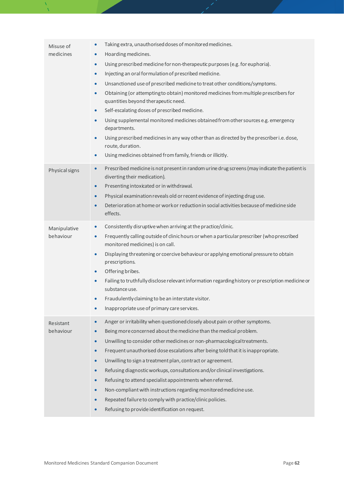| Misuse of<br>medicines    | Taking extra, unauthorised doses of monitored medicines.<br>$\bullet$<br>Hoarding medicines.<br>$\bullet$<br>Using prescribed medicine for non-therapeutic purposes (e.g. for euphoria).<br>$\bullet$<br>Injecting an oral formulation of prescribed medicine.<br>$\bullet$<br>Unsanctioned use of prescribed medicine to treat other conditions/symptoms.<br>$\bullet$<br>Obtaining (or attempting to obtain) monitored medicines from multiple prescribers for<br>$\bullet$<br>quantities beyond therapeutic need.<br>Self-escalating doses of prescribed medicine.<br>$\bullet$<br>Using supplemental monitored medicines obtained from other sources e.g. emergency<br>$\bullet$<br>departments.<br>Using prescribed medicines in any way other than as directed by the prescriber i.e. dose,<br>$\bullet$<br>route, duration.<br>Using medicines obtained from family, friends or illicitly.<br>$\bullet$ |
|---------------------------|----------------------------------------------------------------------------------------------------------------------------------------------------------------------------------------------------------------------------------------------------------------------------------------------------------------------------------------------------------------------------------------------------------------------------------------------------------------------------------------------------------------------------------------------------------------------------------------------------------------------------------------------------------------------------------------------------------------------------------------------------------------------------------------------------------------------------------------------------------------------------------------------------------------|
| Physical signs            | Prescribed medicine is not present in random urine drug screens (may indicate the patient is<br>$\bullet$<br>diverting their medication).<br>Presenting intoxicated or in withdrawal.<br>$\bullet$<br>Physical examination reveals old or recent evidence of injecting drug use.<br>$\bullet$<br>Deterioration at home or work or reduction in social activities because of medicine side<br>$\bullet$<br>effects.                                                                                                                                                                                                                                                                                                                                                                                                                                                                                             |
| Manipulative<br>behaviour | Consistently disruptive when arriving at the practice/clinic.<br>$\bullet$<br>Frequently calling outside of clinic hours or when a particular prescriber (who prescribed<br>$\bullet$<br>monitored medicines) is on call.<br>Displaying threatening or coercive behaviour or applying emotional pressure to obtain<br>$\bullet$<br>prescriptions.<br>Offering bribes.<br>$\bullet$<br>Failing to truthfully disclose relevant information regarding history or prescription medicine or<br>$\bullet$<br>substance use.<br>Fraudulently claiming to be an interstate visitor.<br>Inappropriate use of primary care services.                                                                                                                                                                                                                                                                                    |
| Resistant<br>behaviour    | Anger or irritability when questioned closely about pain or other symptoms.<br>$\bullet$<br>Being more concerned about the medicine than the medical problem.<br>$\bullet$<br>Unwilling to consider other medicines or non-pharmacological treatments.<br>$\bullet$<br>Frequent unauthorised dose escalations after being told that it is inappropriate.<br>$\bullet$<br>Unwilling to sign a treatment plan, contract or agreement.<br>$\bullet$<br>Refusing diagnostic workups, consultations and/or clinical investigations.<br>$\bullet$<br>Refusing to attend specialist appointments when referred.<br>$\bullet$<br>Non-compliant with instructions regarding monitored medicine use.<br>$\bullet$<br>Repeated failure to comply with practice/clinic policies.<br>$\bullet$<br>Refusing to provide identification on request.<br>$\bullet$                                                               |